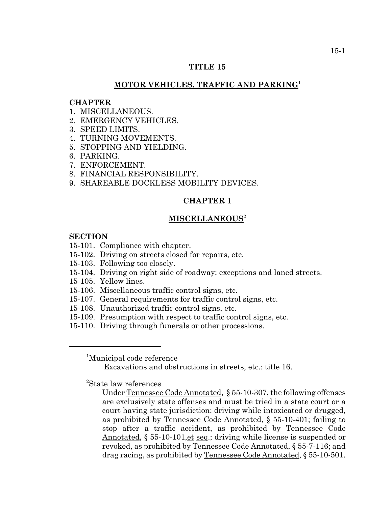## **TITLE 15**

# **MOTOR VEHICLES, TRAFFIC AND PARKING<sup>1</sup>**

#### **CHAPTER**

- 1 MISCELLANEOUS
- 2. EMERGENCY VEHICLES.
- 3. SPEED LIMITS.
- 4. TURNING MOVEMENTS.
- 5. STOPPING AND YIELDING.
- 6. PARKING.
- 7. ENFORCEMENT.
- 8. FINANCIAL RESPONSIBILITY.
- 9. SHAREABLE DOCKLESS MOBILITY DEVICES.

## **CHAPTER 1**

#### **MISCELLANEOUS**<sup>2</sup>

## **SECTION**

- 15-101. Compliance with chapter.
- 15-102. Driving on streets closed for repairs, etc.
- 15-103. Following too closely.
- 15-104. Driving on right side of roadway; exceptions and laned streets.
- 15-105. Yellow lines.
- 15-106. Miscellaneous traffic control signs, etc.
- 15-107. General requirements for traffic control signs, etc.
- 15-108. Unauthorized traffic control signs, etc.
- 15-109. Presumption with respect to traffic control signs, etc.
- 15-110. Driving through funerals or other processions.

<sup>1</sup> Municipal code reference

Excavations and obstructions in streets, etc.: title 16.

<sup>2</sup> State law references

Under Tennessee Code Annotated, § 55-10-307, the following offenses are exclusively state offenses and must be tried in a state court or a court having state jurisdiction: driving while intoxicated or drugged, as prohibited by Tennessee Code Annotated, § 55-10-401; failing to stop after a traffic accident, as prohibited by Tennessee Code Annotated, § 55-10-101, et seq.; driving while license is suspended or revoked, as prohibited by Tennessee Code Annotated, § 55-7-116; and drag racing, as prohibited by Tennessee Code Annotated, § 55-10-501.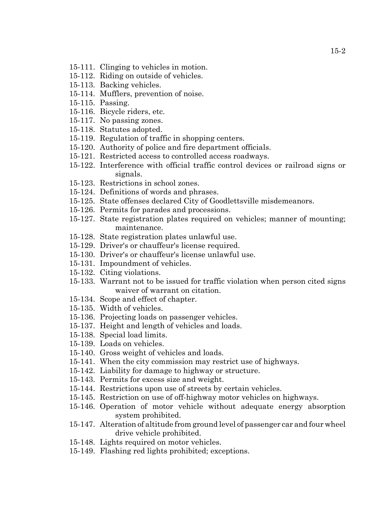- 15-111. Clinging to vehicles in motion.
- 15-112. Riding on outside of vehicles.
- 15-113. Backing vehicles.
- 15-114. Mufflers, prevention of noise.
- 15-115. Passing.
- 15-116. Bicycle riders, etc.
- 15-117. No passing zones.
- 15-118. Statutes adopted.
- 15-119. Regulation of traffic in shopping centers.
- 15-120. Authority of police and fire department officials.
- 15-121. Restricted access to controlled access roadways.
- 15-122. Interference with official traffic control devices or railroad signs or signals.
- 15-123. Restrictions in school zones.
- 15-124. Definitions of words and phrases.
- 15-125. State offenses declared City of Goodlettsville misdemeanors.
- 15-126. Permits for parades and processions.
- 15-127. State registration plates required on vehicles; manner of mounting; maintenance.
- 15-128. State registration plates unlawful use.
- 15-129. Driver's or chauffeur's license required.
- 15-130. Driver's or chauffeur's license unlawful use.
- 15-131. Impoundment of vehicles.
- 15-132. Citing violations.
- 15-133. Warrant not to be issued for traffic violation when person cited signs waiver of warrant on citation.
- 15-134. Scope and effect of chapter.
- 15-135. Width of vehicles.
- 15-136. Projecting loads on passenger vehicles.
- 15-137. Height and length of vehicles and loads.
- 15-138. Special load limits.
- 15-139. Loads on vehicles.
- 15-140. Gross weight of vehicles and loads.
- 15-141. When the city commission may restrict use of highways.
- 15-142. Liability for damage to highway or structure.
- 15-143. Permits for excess size and weight.
- 15-144. Restrictions upon use of streets by certain vehicles.
- 15-145. Restriction on use of off-highway motor vehicles on highways.
- 15-146. Operation of motor vehicle without adequate energy absorption system prohibited.
- 15-147. Alteration of altitude from ground level of passenger car and four wheel drive vehicle prohibited.
- 15-148. Lights required on motor vehicles.
- 15-149. Flashing red lights prohibited; exceptions.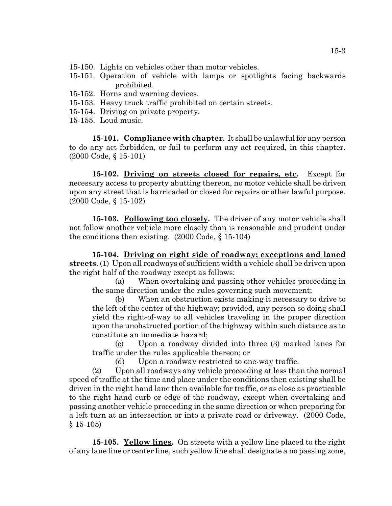- 15-150. Lights on vehicles other than motor vehicles.
- 15-151. Operation of vehicle with lamps or spotlights facing backwards prohibited.
- 15-152. Horns and warning devices.
- 15-153. Heavy truck traffic prohibited on certain streets.
- 15-154. Driving on private property.
- 15-155. Loud music.

**15-101. Compliance with chapter.** It shall be unlawful for any person to do any act forbidden, or fail to perform any act required, in this chapter. (2000 Code, § 15-101)

**15-102. Driving on streets closed for repairs, etc.** Except for necessary access to property abutting thereon, no motor vehicle shall be driven upon any street that is barricaded or closed for repairs or other lawful purpose. (2000 Code, § 15-102)

**15-103. Following too closely.** The driver of any motor vehicle shall not follow another vehicle more closely than is reasonable and prudent under the conditions then existing. (2000 Code, § 15-104)

**15-104. Driving on right side of roadway; exceptions and laned streets**. (1) Upon all roadways of sufficient width a vehicle shall be driven upon the right half of the roadway except as follows:

(a) When overtaking and passing other vehicles proceeding in the same direction under the rules governing such movement;

(b) When an obstruction exists making it necessary to drive to the left of the center of the highway; provided, any person so doing shall yield the right-of-way to all vehicles traveling in the proper direction upon the unobstructed portion of the highway within such distance as to constitute an immediate hazard;

(c) Upon a roadway divided into three (3) marked lanes for traffic under the rules applicable thereon; or

(d) Upon a roadway restricted to one-way traffic.

(2) Upon all roadways any vehicle proceeding at less than the normal speed of traffic at the time and place under the conditions then existing shall be driven in the right hand lane then available for traffic, or as close as practicable to the right hand curb or edge of the roadway, except when overtaking and passing another vehicle proceeding in the same direction or when preparing for a left turn at an intersection or into a private road or driveway. (2000 Code,  $§$  15-105)

**15-105. Yellow lines.** On streets with a yellow line placed to the right of any lane line or center line, such yellow line shall designate a no passing zone,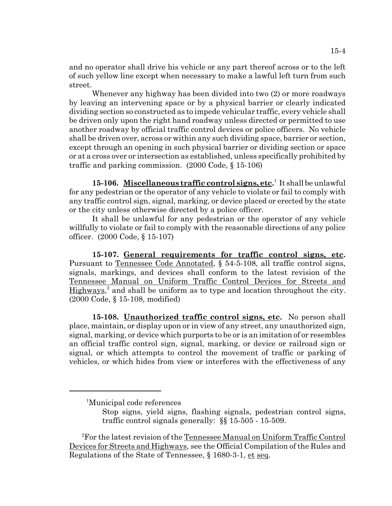and no operator shall drive his vehicle or any part thereof across or to the left of such yellow line except when necessary to make a lawful left turn from such street.

Whenever any highway has been divided into two (2) or more roadways by leaving an intervening space or by a physical barrier or clearly indicated dividing section so constructed as to impede vehicular traffic, every vehicle shall be driven only upon the right hand roadway unless directed or permitted to use another roadway by official traffic control devices or police officers. No vehicle shall be driven over, across or within any such dividing space, barrier or section, except through an opening in such physical barrier or dividing section or space or at a cross over or intersection as established, unless specifically prohibited by traffic and parking commission. (2000 Code, § 15-106)

15-106. Miscellaneous traffic control signs, etc.<sup>1</sup> It shall be unlawful for any pedestrian or the operator of any vehicle to violate or fail to comply with any traffic control sign, signal, marking, or device placed or erected by the state or the city unless otherwise directed by a police officer.

It shall be unlawful for any pedestrian or the operator of any vehicle willfully to violate or fail to comply with the reasonable directions of any police officer. (2000 Code, § 15-107)

**15-107. General requirements for traffic control signs, etc.** Pursuant to Tennessee Code Annotated, § 54-5-108, all traffic control signs, signals, markings, and devices shall conform to the latest revision of the Tennessee Manual on Uniform Traffic Control Devices for Streets and Highways,<sup>2</sup> and shall be uniform as to type and location throughout the city. (2000 Code, § 15-108, modified)

**15-108. Unauthorized traffic control signs, etc.** No person shall place, maintain, or display upon or in view of any street, any unauthorized sign, signal, marking, or device which purports to be or is an imitation of or resembles an official traffic control sign, signal, marking, or device or railroad sign or signal, or which attempts to control the movement of traffic or parking of vehicles, or which hides from view or interferes with the effectiveness of any

<sup>1</sup> Municipal code references

Stop signs, yield signs, flashing signals, pedestrian control signs, traffic control signals generally: §§ 15-505 - 15-509.

<sup>&</sup>lt;sup>2</sup>For the latest revision of the Tennessee Manual on Uniform Traffic Control Devices for Streets and Highways, see the Official Compilation of the Rules and Regulations of the State of Tennessee, § 1680-3-1, et seq.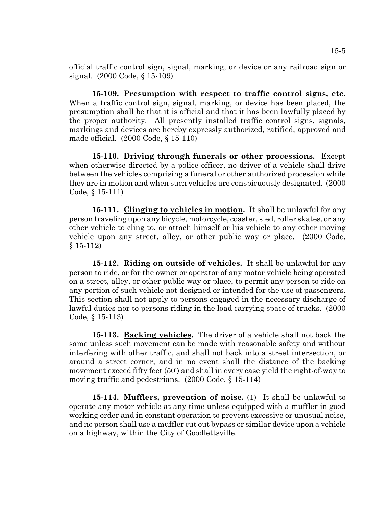official traffic control sign, signal, marking, or device or any railroad sign or signal. (2000 Code, § 15-109)

**15-109. Presumption with respect to traffic control signs, etc.** When a traffic control sign, signal, marking, or device has been placed, the presumption shall be that it is official and that it has been lawfully placed by the proper authority. All presently installed traffic control signs, signals, markings and devices are hereby expressly authorized, ratified, approved and made official. (2000 Code, § 15-110)

**15-110. Driving through funerals or other processions.** Except when otherwise directed by a police officer, no driver of a vehicle shall drive between the vehicles comprising a funeral or other authorized procession while they are in motion and when such vehicles are conspicuously designated. (2000 Code, § 15-111)

**15-111. Clinging to vehicles in motion.** It shall be unlawful for any person traveling upon any bicycle, motorcycle, coaster, sled, roller skates, or any other vehicle to cling to, or attach himself or his vehicle to any other moving vehicle upon any street, alley, or other public way or place. (2000 Code, § 15-112)

**15-112. Riding on outside of vehicles.** It shall be unlawful for any person to ride, or for the owner or operator of any motor vehicle being operated on a street, alley, or other public way or place, to permit any person to ride on any portion of such vehicle not designed or intended for the use of passengers. This section shall not apply to persons engaged in the necessary discharge of lawful duties nor to persons riding in the load carrying space of trucks. (2000 Code, § 15-113)

**15-113. Backing vehicles.** The driver of a vehicle shall not back the same unless such movement can be made with reasonable safety and without interfering with other traffic, and shall not back into a street intersection, or around a street corner, and in no event shall the distance of the backing movement exceed fifty feet (50') and shall in every case yield the right-of-way to moving traffic and pedestrians. (2000 Code, § 15-114)

**15-114. Mufflers, prevention of noise.** (1) It shall be unlawful to operate any motor vehicle at any time unless equipped with a muffler in good working order and in constant operation to prevent excessive or unusual noise, and no person shall use a muffler cut out bypass or similar device upon a vehicle on a highway, within the City of Goodlettsville.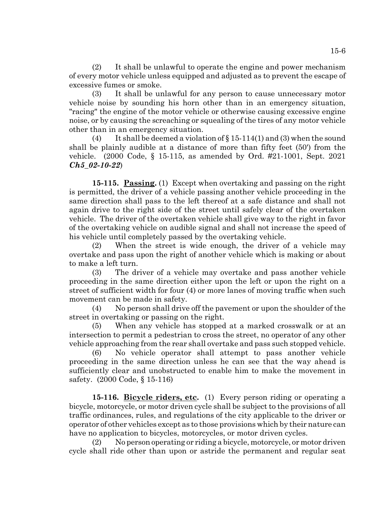(2) It shall be unlawful to operate the engine and power mechanism of every motor vehicle unless equipped and adjusted as to prevent the escape of excessive fumes or smoke.

(3) It shall be unlawful for any person to cause unnecessary motor vehicle noise by sounding his horn other than in an emergency situation, "racing" the engine of the motor vehicle or otherwise causing excessive engine noise, or by causing the screaching or squealing of the tires of any motor vehicle other than in an emergency situation.

(4) It shall be deemed a violation of  $\S 15-114(1)$  and (3) when the sound shall be plainly audible at a distance of more than fifty feet (50') from the vehicle. (2000 Code, § 15-115, as amended by Ord. #21-1001, Sept. 2021 *Ch5\_02-10-22*)

**15-115. Passing.** (1) Except when overtaking and passing on the right is permitted, the driver of a vehicle passing another vehicle proceeding in the same direction shall pass to the left thereof at a safe distance and shall not again drive to the right side of the street until safely clear of the overtaken vehicle. The driver of the overtaken vehicle shall give way to the right in favor of the overtaking vehicle on audible signal and shall not increase the speed of his vehicle until completely passed by the overtaking vehicle.

(2) When the street is wide enough, the driver of a vehicle may overtake and pass upon the right of another vehicle which is making or about to make a left turn.

(3) The driver of a vehicle may overtake and pass another vehicle proceeding in the same direction either upon the left or upon the right on a street of sufficient width for four (4) or more lanes of moving traffic when such movement can be made in safety.

(4) No person shall drive off the pavement or upon the shoulder of the street in overtaking or passing on the right.

(5) When any vehicle has stopped at a marked crosswalk or at an intersection to permit a pedestrian to cross the street, no operator of any other vehicle approaching from the rear shall overtake and pass such stopped vehicle.

(6) No vehicle operator shall attempt to pass another vehicle proceeding in the same direction unless he can see that the way ahead is sufficiently clear and unobstructed to enable him to make the movement in safety. (2000 Code, § 15-116)

**15-116. Bicycle riders, etc.** (1) Every person riding or operating a bicycle, motorcycle, or motor driven cycle shall be subject to the provisions of all traffic ordinances, rules, and regulations of the city applicable to the driver or operator of other vehicles except as to those provisions which by their nature can have no application to bicycles, motorcycles, or motor driven cycles.

(2) No person operating or riding a bicycle, motorcycle, or motor driven cycle shall ride other than upon or astride the permanent and regular seat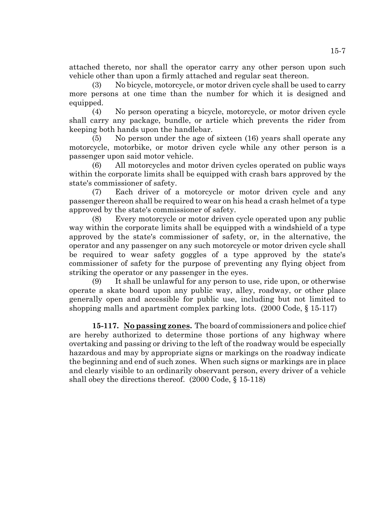attached thereto, nor shall the operator carry any other person upon such vehicle other than upon a firmly attached and regular seat thereon.

(3) No bicycle, motorcycle, or motor driven cycle shall be used to carry more persons at one time than the number for which it is designed and equipped.

(4) No person operating a bicycle, motorcycle, or motor driven cycle shall carry any package, bundle, or article which prevents the rider from keeping both hands upon the handlebar.

(5) No person under the age of sixteen (16) years shall operate any motorcycle, motorbike, or motor driven cycle while any other person is a passenger upon said motor vehicle.

(6) All motorcycles and motor driven cycles operated on public ways within the corporate limits shall be equipped with crash bars approved by the state's commissioner of safety.

(7) Each driver of a motorcycle or motor driven cycle and any passenger thereon shall be required to wear on his head a crash helmet of a type approved by the state's commissioner of safety.

(8) Every motorcycle or motor driven cycle operated upon any public way within the corporate limits shall be equipped with a windshield of a type approved by the state's commissioner of safety, or, in the alternative, the operator and any passenger on any such motorcycle or motor driven cycle shall be required to wear safety goggles of a type approved by the state's commissioner of safety for the purpose of preventing any flying object from striking the operator or any passenger in the eyes.

(9) It shall be unlawful for any person to use, ride upon, or otherwise operate a skate board upon any public way, alley, roadway, or other place generally open and accessible for public use, including but not limited to shopping malls and apartment complex parking lots. (2000 Code, § 15-117)

**15-117. No passing zones.** The board of commissioners and police chief are hereby authorized to determine those portions of any highway where overtaking and passing or driving to the left of the roadway would be especially hazardous and may by appropriate signs or markings on the roadway indicate the beginning and end of such zones. When such signs or markings are in place and clearly visible to an ordinarily observant person, every driver of a vehicle shall obey the directions thereof. (2000 Code, § 15-118)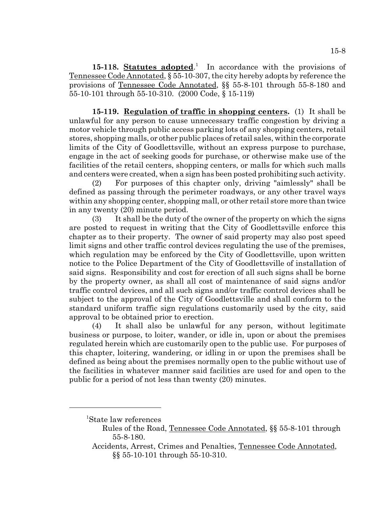15-118. **Statutes adopted**.<sup>1</sup> In accordance with the provisions of Tennessee Code Annotated, § 55-10-307, the city hereby adopts by reference the provisions of Tennessee Code Annotated, §§ 55-8-101 through 55-8-180 and 55-10-101 through 55-10-310. (2000 Code, § 15-119)

**15-119. Regulation of traffic in shopping centers.** (1) It shall be unlawful for any person to cause unnecessary traffic congestion by driving a motor vehicle through public access parking lots of any shopping centers, retail stores, shopping malls, or other public places of retail sales, within the corporate limits of the City of Goodlettsville, without an express purpose to purchase, engage in the act of seeking goods for purchase, or otherwise make use of the facilities of the retail centers, shopping centers, or malls for which such malls and centers were created, when a sign has been posted prohibiting such activity.

(2) For purposes of this chapter only, driving "aimlessly" shall be defined as passing through the perimeter roadways, or any other travel ways within any shopping center, shopping mall, or other retail store more than twice in any twenty (20) minute period.

(3) It shall be the duty of the owner of the property on which the signs are posted to request in writing that the City of Goodlettsville enforce this chapter as to their property. The owner of said property may also post speed limit signs and other traffic control devices regulating the use of the premises, which regulation may be enforced by the City of Goodlettsville, upon written notice to the Police Department of the City of Goodlettsville of installation of said signs. Responsibility and cost for erection of all such signs shall be borne by the property owner, as shall all cost of maintenance of said signs and/or traffic control devices, and all such signs and/or traffic control devices shall be subject to the approval of the City of Goodlettsville and shall conform to the standard uniform traffic sign regulations customarily used by the city, said approval to be obtained prior to erection.

(4) It shall also be unlawful for any person, without legitimate business or purpose, to loiter, wander, or idle in, upon or about the premises regulated herein which are customarily open to the public use. For purposes of this chapter, loitering, wandering, or idling in or upon the premises shall be defined as being about the premises normally open to the public without use of the facilities in whatever manner said facilities are used for and open to the public for a period of not less than twenty (20) minutes.

<sup>1</sup> State law references

Rules of the Road, Tennessee Code Annotated, §§ 55-8-101 through 55-8-180.

Accidents, Arrest, Crimes and Penalties, Tennessee Code Annotated, §§ 55-10-101 through 55-10-310.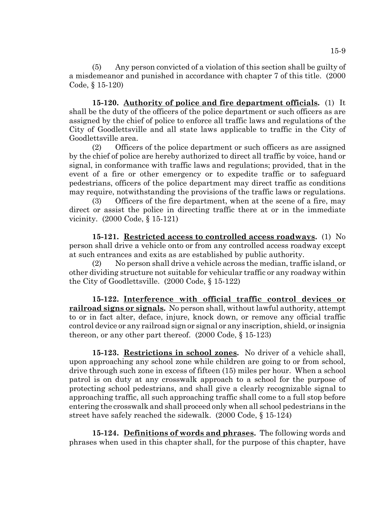(5) Any person convicted of a violation of this section shall be guilty of a misdemeanor and punished in accordance with chapter 7 of this title. (2000 Code, § 15-120)

**15-120. Authority of police and fire department officials.** (1) It shall be the duty of the officers of the police department or such officers as are assigned by the chief of police to enforce all traffic laws and regulations of the City of Goodlettsville and all state laws applicable to traffic in the City of Goodlettsville area.

(2) Officers of the police department or such officers as are assigned by the chief of police are hereby authorized to direct all traffic by voice, hand or signal, in conformance with traffic laws and regulations; provided, that in the event of a fire or other emergency or to expedite traffic or to safeguard pedestrians, officers of the police department may direct traffic as conditions may require, notwithstanding the provisions of the traffic laws or regulations.

(3) Officers of the fire department, when at the scene of a fire, may direct or assist the police in directing traffic there at or in the immediate vicinity. (2000 Code, § 15-121)

**15-121. Restricted access to controlled access roadways.** (1) No person shall drive a vehicle onto or from any controlled access roadway except at such entrances and exits as are established by public authority.

(2) No person shall drive a vehicle across the median, traffic island, or other dividing structure not suitable for vehicular traffic or any roadway within the City of Goodlettsville. (2000 Code, § 15-122)

**15-122. Interference with official traffic control devices or railroad signs or signals.** No person shall, without lawful authority, attempt to or in fact alter, deface, injure, knock down, or remove any official traffic control device or any railroad sign or signal or any inscription, shield, or insignia thereon, or any other part thereof.  $(2000 \text{ Code}, \S 15-123)$ 

**15-123. Restrictions in school zones.** No driver of a vehicle shall, upon approaching any school zone while children are going to or from school, drive through such zone in excess of fifteen (15) miles per hour. When a school patrol is on duty at any crosswalk approach to a school for the purpose of protecting school pedestrians, and shall give a clearly recognizable signal to approaching traffic, all such approaching traffic shall come to a full stop before entering the crosswalk and shall proceed only when all school pedestrians in the street have safely reached the sidewalk. (2000 Code, § 15-124)

**15-124. Definitions of words and phrases.** The following words and phrases when used in this chapter shall, for the purpose of this chapter, have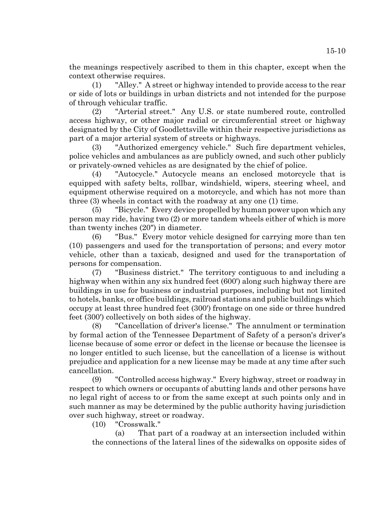the meanings respectively ascribed to them in this chapter, except when the context otherwise requires.

(1) "Alley." A street or highway intended to provide access to the rear or side of lots or buildings in urban districts and not intended for the purpose of through vehicular traffic.

(2) "Arterial street." Any U.S. or state numbered route, controlled access highway, or other major radial or circumferential street or highway designated by the City of Goodlettsville within their respective jurisdictions as part of a major arterial system of streets or highways.

(3) "Authorized emergency vehicle." Such fire department vehicles, police vehicles and ambulances as are publicly owned, and such other publicly or privately-owned vehicles as are designated by the chief of police.

(4) "Autocycle." Autocycle means an enclosed motorcycle that is equipped with safety belts, rollbar, windshield, wipers, steering wheel, and equipment otherwise required on a motorcycle, and which has not more than three (3) wheels in contact with the roadway at any one (1) time.

(5) "Bicycle." Every device propelled by human power upon which any person may ride, having two (2) or more tandem wheels either of which is more than twenty inches (20") in diameter.

(6) "Bus." Every motor vehicle designed for carrying more than ten (10) passengers and used for the transportation of persons; and every motor vehicle, other than a taxicab, designed and used for the transportation of persons for compensation.

(7) "Business district." The territory contiguous to and including a highway when within any six hundred feet (600') along such highway there are buildings in use for business or industrial purposes, including but not limited to hotels, banks, or office buildings, railroad stations and public buildings which occupy at least three hundred feet (300') frontage on one side or three hundred feet (300') collectively on both sides of the highway.

(8) "Cancellation of driver's license." The annulment or termination by formal action of the Tennessee Department of Safety of a person's driver's license because of some error or defect in the license or because the licensee is no longer entitled to such license, but the cancellation of a license is without prejudice and application for a new license may be made at any time after such cancellation.

(9) "Controlled access highway." Every highway, street or roadway in respect to which owners or occupants of abutting lands and other persons have no legal right of access to or from the same except at such points only and in such manner as may be determined by the public authority having jurisdiction over such highway, street or roadway.

(10) "Crosswalk."

(a) That part of a roadway at an intersection included within the connections of the lateral lines of the sidewalks on opposite sides of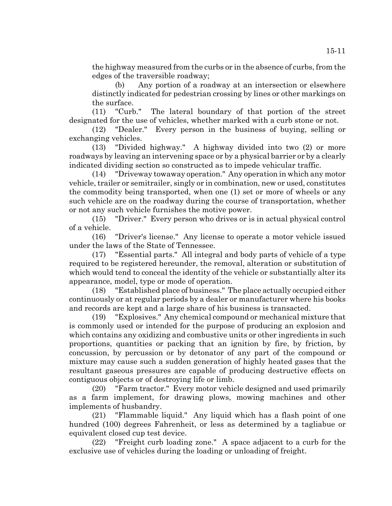the highway measured from the curbs or in the absence of curbs, from the edges of the traversible roadway;

(b) Any portion of a roadway at an intersection or elsewhere distinctly indicated for pedestrian crossing by lines or other markings on the surface.

(11) "Curb." The lateral boundary of that portion of the street designated for the use of vehicles, whether marked with a curb stone or not.

(12) "Dealer." Every person in the business of buying, selling or exchanging vehicles.

(13) "Divided highway." A highway divided into two (2) or more roadways by leaving an intervening space or by a physical barrier or by a clearly indicated dividing section so constructed as to impede vehicular traffic.

(14) "Driveway towaway operation." Any operation in which any motor vehicle, trailer or semitrailer, singly or in combination, new or used, constitutes the commodity being transported, when one (1) set or more of wheels or any such vehicle are on the roadway during the course of transportation, whether or not any such vehicle furnishes the motive power.

(15) "Driver." Every person who drives or is in actual physical control of a vehicle.

(16) "Driver's license." Any license to operate a motor vehicle issued under the laws of the State of Tennessee.

(17) "Essential parts." All integral and body parts of vehicle of a type required to be registered hereunder, the removal, alteration or substitution of which would tend to conceal the identity of the vehicle or substantially alter its appearance, model, type or mode of operation.

(18) "Established place of business." The place actually occupied either continuously or at regular periods by a dealer or manufacturer where his books and records are kept and a large share of his business is transacted.

(19) "Explosives." Any chemical compound or mechanical mixture that is commonly used or intended for the purpose of producing an explosion and which contains any oxidizing and combustive units or other ingredients in such proportions, quantities or packing that an ignition by fire, by friction, by concussion, by percussion or by detonator of any part of the compound or mixture may cause such a sudden generation of highly heated gases that the resultant gaseous pressures are capable of producing destructive effects on contiguous objects or of destroying life or limb.

(20) "Farm tractor." Every motor vehicle designed and used primarily as a farm implement, for drawing plows, mowing machines and other implements of husbandry.

(21) "Flammable liquid." Any liquid which has a flash point of one hundred (100) degrees Fahrenheit, or less as determined by a tagliabue or equivalent closed cup test device.

(22) "Freight curb loading zone." A space adjacent to a curb for the exclusive use of vehicles during the loading or unloading of freight.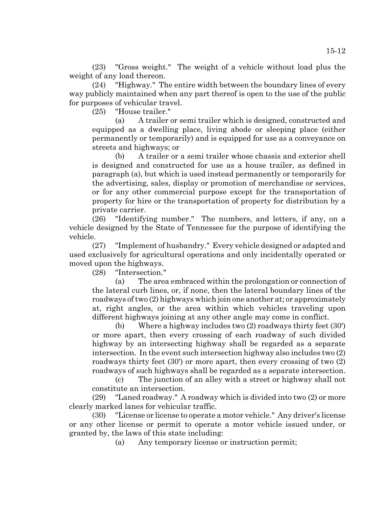(23) "Gross weight." The weight of a vehicle without load plus the weight of any load thereon.

(24) "Highway." The entire width between the boundary lines of every way publicly maintained when any part thereof is open to the use of the public for purposes of vehicular travel.

(25) "House trailer."

(a) A trailer or semi trailer which is designed, constructed and equipped as a dwelling place, living abode or sleeping place (either permanently or temporarily) and is equipped for use as a conveyance on streets and highways; or

(b) A trailer or a semi trailer whose chassis and exterior shell is designed and constructed for use as a house trailer, as defined in paragraph (a), but which is used instead permanently or temporarily for the advertising, sales, display or promotion of merchandise or services, or for any other commercial purpose except for the transportation of property for hire or the transportation of property for distribution by a private carrier.

(26) "Identifying number." The numbers, and letters, if any, on a vehicle designed by the State of Tennessee for the purpose of identifying the vehicle.

(27) "Implement of husbandry." Every vehicle designed or adapted and used exclusively for agricultural operations and only incidentally operated or moved upon the highways.

(28) "Intersection."

(a) The area embraced within the prolongation or connection of the lateral curb lines, or, if none, then the lateral boundary lines of the roadways of two (2) highways which join one another at; or approximately at, right angles, or the area within which vehicles traveling upon different highways joining at any other angle may come in conflict.

(b) Where a highway includes two (2) roadways thirty feet (30') or more apart, then every crossing of each roadway of such divided highway by an intersecting highway shall be regarded as a separate intersection. In the event such intersection highway also includes two (2) roadways thirty feet (30') or more apart, then every crossing of two (2) roadways of such highways shall be regarded as a separate intersection.

(c) The junction of an alley with a street or highway shall not constitute an intersection.

(29) "Laned roadway." A roadway which is divided into two (2) or more clearly marked lanes for vehicular traffic.

(30) "License or license to operate a motor vehicle." Any driver's license or any other license or permit to operate a motor vehicle issued under, or granted by, the laws of this state including:

(a) Any temporary license or instruction permit;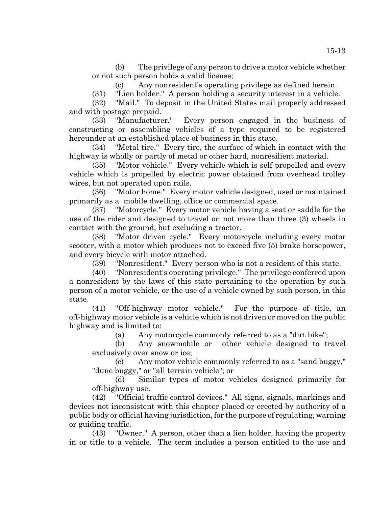(b) The privilege of any person to drive a motor vehicle whether or not such person holds a valid license;

(c) Any nonresident's operating privilege as defined herein.

(31) "Lien holder." A person holding a security interest in a vehicle.

(32) "Mail." To deposit in the United States mail properly addressed and with postage prepaid.

(33) "Manufacturer." Every person engaged in the business of constructing or assembling vehicles of a type required to be registered hereunder at an established place of business in this state.

(34) "Metal tire." Every tire, the surface of which in contact with the highway is wholly or partly of metal or other hard, nonresilient material.

(35) "Motor vehicle." Every vehicle which is self-propelled and every vehicle which is propelled by electric power obtained from overhead trolley wires, but not operated upon rails.

(36) "Motor home." Every motor vehicle designed, used or maintained primarily as a mobile dwelling, office or commercial space.

(37) "Motorcycle." Every motor vehicle having a seat or saddle for the use of the rider and designed to travel on not more than three (3) wheels in contact with the ground, but excluding a tractor.

(38) "Motor driven cycle." Every motorcycle including every motor scooter, with a motor which produces not to exceed five (5) brake horsepower, and every bicycle with motor attached.

(39) "Nonresident." Every person who is not a resident of this state.

(40) "Nonresident's operating privilege." The privilege conferred upon a nonresident by the laws of this state pertaining to the operation by such person of a motor vehicle, or the use of a vehicle owned by such person, in this state.

(41) "Off-highway motor vehicle." For the purpose of title, an off-highway motor vehicle is a vehicle which is not driven or moved on the public highway and is limited to:

(a) Any motorcycle commonly referred to as a "dirt bike";

(b) Any snowmobile or other vehicle designed to travel exclusively over snow or ice;

(c) Any motor vehicle commonly referred to as a "sand buggy," "dune buggy," or "all terrain vehicle"; or

(d) Similar types of motor vehicles designed primarily for off-highway use.

(42) "Official traffic control devices." All signs, signals, markings and devices not inconsistent with this chapter placed or erected by authority of a public body or official having jurisdiction, for the purpose of regulating, warning or guiding traffic.

(43) "Owner." A person, other than a lien holder, having the property in or title to a vehicle. The term includes a person entitled to the use and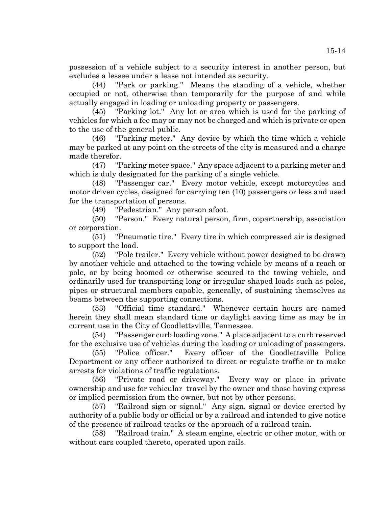possession of a vehicle subject to a security interest in another person, but excludes a lessee under a lease not intended as security.

(44) "Park or parking." Means the standing of a vehicle, whether occupied or not, otherwise than temporarily for the purpose of and while actually engaged in loading or unloading property or passengers.

(45) "Parking lot." Any lot or area which is used for the parking of vehicles for which a fee may or may not be charged and which is private or open to the use of the general public.

(46) "Parking meter." Any device by which the time which a vehicle may be parked at any point on the streets of the city is measured and a charge made therefor.

(47) "Parking meter space." Any space adjacent to a parking meter and which is duly designated for the parking of a single vehicle.

(48) "Passenger car." Every motor vehicle, except motorcycles and motor driven cycles, designed for carrying ten (10) passengers or less and used for the transportation of persons.

(49) "Pedestrian." Any person afoot.

(50) "Person." Every natural person, firm, copartnership, association or corporation.

(51) "Pneumatic tire." Every tire in which compressed air is designed to support the load.

(52) "Pole trailer." Every vehicle without power designed to be drawn by another vehicle and attached to the towing vehicle by means of a reach or pole, or by being boomed or otherwise secured to the towing vehicle, and ordinarily used for transporting long or irregular shaped loads such as poles, pipes or structural members capable, generally, of sustaining themselves as beams between the supporting connections.

(53) "Official time standard." Whenever certain hours are named herein they shall mean standard time or daylight saving time as may be in current use in the City of Goodlettsville, Tennessee.

(54) "Passenger curb loading zone." A place adjacent to a curb reserved for the exclusive use of vehicles during the loading or unloading of passengers.

(55) "Police officer." Every officer of the Goodlettsville Police Department or any officer authorized to direct or regulate traffic or to make arrests for violations of traffic regulations.

(56) "Private road or driveway." Every way or place in private ownership and use for vehicular travel by the owner and those having express or implied permission from the owner, but not by other persons.

(57) "Railroad sign or signal." Any sign, signal or device erected by authority of a public body or official or by a railroad and intended to give notice of the presence of railroad tracks or the approach of a railroad train.

(58) "Railroad train." A steam engine, electric or other motor, with or without cars coupled thereto, operated upon rails.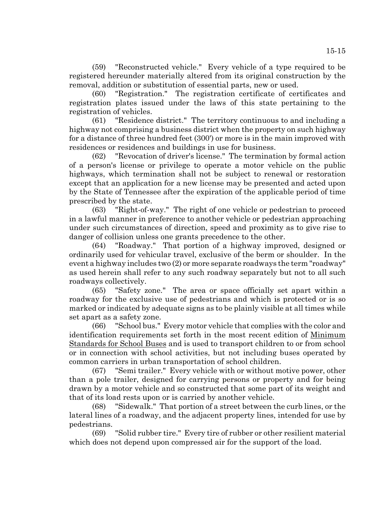(59) "Reconstructed vehicle." Every vehicle of a type required to be registered hereunder materially altered from its original construction by the removal, addition or substitution of essential parts, new or used.

(60) "Registration." The registration certificate of certificates and registration plates issued under the laws of this state pertaining to the registration of vehicles.

(61) "Residence district." The territory continuous to and including a highway not comprising a business district when the property on such highway for a distance of three hundred feet (300') or more is in the main improved with residences or residences and buildings in use for business.

(62) "Revocation of driver's license." The termination by formal action of a person's license or privilege to operate a motor vehicle on the public highways, which termination shall not be subject to renewal or restoration except that an application for a new license may be presented and acted upon by the State of Tennessee after the expiration of the applicable period of time prescribed by the state.

(63) "Right-of-way." The right of one vehicle or pedestrian to proceed in a lawful manner in preference to another vehicle or pedestrian approaching under such circumstances of direction, speed and proximity as to give rise to danger of collision unless one grants precedence to the other.

(64) "Roadway." That portion of a highway improved, designed or ordinarily used for vehicular travel, exclusive of the berm or shoulder. In the event a highway includes two (2) or more separate roadways the term "roadway" as used herein shall refer to any such roadway separately but not to all such roadways collectively.

(65) "Safety zone." The area or space officially set apart within a roadway for the exclusive use of pedestrians and which is protected or is so marked or indicated by adequate signs as to be plainly visible at all times while set apart as a safety zone.

(66) "School bus." Every motor vehicle that complies with the color and identification requirements set forth in the most recent edition of Minimum Standards for School Buses and is used to transport children to or from school or in connection with school activities, but not including buses operated by common carriers in urban transportation of school children.

(67) "Semi trailer." Every vehicle with or without motive power, other than a pole trailer, designed for carrying persons or property and for being drawn by a motor vehicle and so constructed that some part of its weight and that of its load rests upon or is carried by another vehicle.

(68) "Sidewalk." That portion of a street between the curb lines, or the lateral lines of a roadway, and the adjacent property lines, intended for use by pedestrians.

(69) "Solid rubber tire." Every tire of rubber or other resilient material which does not depend upon compressed air for the support of the load.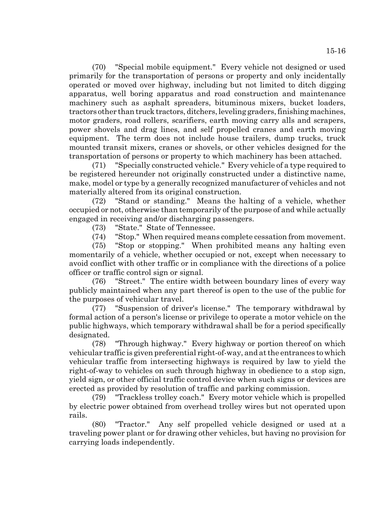(70) "Special mobile equipment." Every vehicle not designed or used primarily for the transportation of persons or property and only incidentally operated or moved over highway, including but not limited to ditch digging apparatus, well boring apparatus and road construction and maintenance machinery such as asphalt spreaders, bituminous mixers, bucket loaders, tractors other than truck tractors, ditchers, leveling graders, finishing machines, motor graders, road rollers, scarifiers, earth moving carry alls and scrapers, power shovels and drag lines, and self propelled cranes and earth moving equipment. The term does not include house trailers, dump trucks, truck mounted transit mixers, cranes or shovels, or other vehicles designed for the transportation of persons or property to which machinery has been attached.

(71) "Specially constructed vehicle." Every vehicle of a type required to be registered hereunder not originally constructed under a distinctive name, make, model or type by a generally recognized manufacturer of vehicles and not materially altered from its original construction.

(72) "Stand or standing." Means the halting of a vehicle, whether occupied or not, otherwise than temporarily of the purpose of and while actually engaged in receiving and/or discharging passengers.

(73) "State." State of Tennessee.

(74) "Stop." When required means complete cessation from movement.

(75) "Stop or stopping." When prohibited means any halting even momentarily of a vehicle, whether occupied or not, except when necessary to avoid conflict with other traffic or in compliance with the directions of a police officer or traffic control sign or signal.

(76) "Street." The entire width between boundary lines of every way publicly maintained when any part thereof is open to the use of the public for the purposes of vehicular travel.

(77) "Suspension of driver's license." The temporary withdrawal by formal action of a person's license or privilege to operate a motor vehicle on the public highways, which temporary withdrawal shall be for a period specifically designated.

(78) "Through highway." Every highway or portion thereof on which vehicular traffic is given preferential right-of-way, and at the entrances to which vehicular traffic from intersecting highways is required by law to yield the right-of-way to vehicles on such through highway in obedience to a stop sign, yield sign, or other official traffic control device when such signs or devices are erected as provided by resolution of traffic and parking commission.

(79) "Trackless trolley coach." Every motor vehicle which is propelled by electric power obtained from overhead trolley wires but not operated upon rails.

(80) "Tractor." Any self propelled vehicle designed or used at a traveling power plant or for drawing other vehicles, but having no provision for carrying loads independently.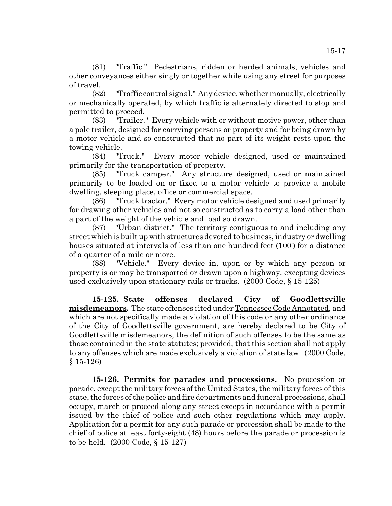(81) "Traffic." Pedestrians, ridden or herded animals, vehicles and other conveyances either singly or together while using any street for purposes of travel.

(82) "Traffic control signal." Any device, whether manually, electrically or mechanically operated, by which traffic is alternately directed to stop and permitted to proceed.

(83) "Trailer." Every vehicle with or without motive power, other than a pole trailer, designed for carrying persons or property and for being drawn by a motor vehicle and so constructed that no part of its weight rests upon the towing vehicle.

(84) "Truck." Every motor vehicle designed, used or maintained primarily for the transportation of property.

(85) "Truck camper." Any structure designed, used or maintained primarily to be loaded on or fixed to a motor vehicle to provide a mobile dwelling, sleeping place, office or commercial space.

(86) "Truck tractor." Every motor vehicle designed and used primarily for drawing other vehicles and not so constructed as to carry a load other than a part of the weight of the vehicle and load so drawn.

(87) "Urban district." The territory contiguous to and including any street which is built up with structures devoted to business, industry or dwelling houses situated at intervals of less than one hundred feet (100') for a distance of a quarter of a mile or more.

(88) "Vehicle." Every device in, upon or by which any person or property is or may be transported or drawn upon a highway, excepting devices used exclusively upon stationary rails or tracks. (2000 Code, § 15-125)

**15-125. State offenses declared City of Goodlettsville misdemeanors.** The state offenses cited under Tennessee Code Annotated, and which are not specifically made a violation of this code or any other ordinance of the City of Goodlettsville government, are hereby declared to be City of Goodlettsville misdemeanors, the definition of such offenses to be the same as those contained in the state statutes; provided, that this section shall not apply to any offenses which are made exclusively a violation of state law. (2000 Code, § 15-126)

**15-126. Permits for parades and processions.** No procession or parade, except the military forces of the United States, the military forces of this state, the forces of the police and fire departments and funeral processions, shall occupy, march or proceed along any street except in accordance with a permit issued by the chief of police and such other regulations which may apply. Application for a permit for any such parade or procession shall be made to the chief of police at least forty-eight (48) hours before the parade or procession is to be held. (2000 Code, § 15-127)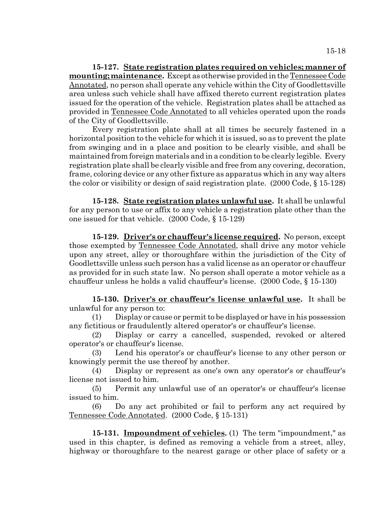**15-127. State registration plates required on vehicles; manner of mounting; maintenance.** Except as otherwise provided in the Tennessee Code Annotated, no person shall operate any vehicle within the City of Goodlettsville area unless such vehicle shall have affixed thereto current registration plates issued for the operation of the vehicle. Registration plates shall be attached as provided in Tennessee Code Annotated to all vehicles operated upon the roads of the City of Goodlettsville.

Every registration plate shall at all times be securely fastened in a horizontal position to the vehicle for which it is issued, so as to prevent the plate from swinging and in a place and position to be clearly visible, and shall be maintained from foreign materials and in a condition to be clearly legible. Every registration plate shall be clearly visible and free from any covering, decoration, frame, coloring device or any other fixture as apparatus which in any way alters the color or visibility or design of said registration plate. (2000 Code, § 15-128)

**15-128. State registration plates unlawful use.** It shall be unlawful for any person to use or affix to any vehicle a registration plate other than the one issued for that vehicle. (2000 Code, § 15-129)

**15-129. Driver's or chauffeur's license required.** No person, except those exempted by Tennessee Code Annotated, shall drive any motor vehicle upon any street, alley or thoroughfare within the jurisdiction of the City of Goodlettsville unless such person has a valid license as an operator or chauffeur as provided for in such state law. No person shall operate a motor vehicle as a chauffeur unless he holds a valid chauffeur's license. (2000 Code, § 15-130)

**15-130. Driver's or chauffeur's license unlawful use.** It shall be unlawful for any person to:

(1) Display or cause or permit to be displayed or have in his possession any fictitious or fraudulently altered operator's or chauffeur's license.

(2) Display or carry a cancelled, suspended, revoked or altered operator's or chauffeur's license.

(3) Lend his operator's or chauffeur's license to any other person or knowingly permit the use thereof by another.

(4) Display or represent as one's own any operator's or chauffeur's license not issued to him.

(5) Permit any unlawful use of an operator's or chauffeur's license issued to him.

(6) Do any act prohibited or fail to perform any act required by Tennessee Code Annotated. (2000 Code, § 15-131)

**15-131. Impoundment of vehicles.** (1) The term "impoundment," as used in this chapter, is defined as removing a vehicle from a street, alley, highway or thoroughfare to the nearest garage or other place of safety or a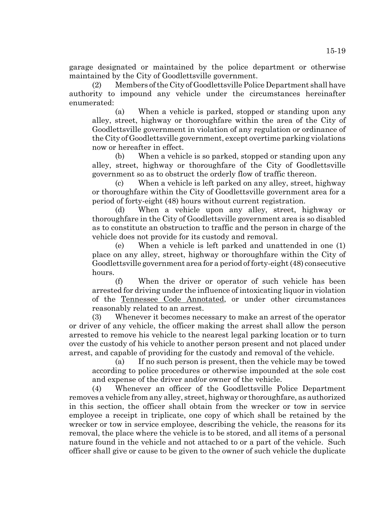garage designated or maintained by the police department or otherwise maintained by the City of Goodlettsville government.

(2) Members of the City of Goodlettsville Police Department shall have authority to impound any vehicle under the circumstances hereinafter enumerated:

(a) When a vehicle is parked, stopped or standing upon any alley, street, highway or thoroughfare within the area of the City of Goodlettsville government in violation of any regulation or ordinance of the City of Goodlettsville government, except overtime parking violations now or hereafter in effect.

(b) When a vehicle is so parked, stopped or standing upon any alley, street, highway or thoroughfare of the City of Goodlettsville government so as to obstruct the orderly flow of traffic thereon.

(c) When a vehicle is left parked on any alley, street, highway or thoroughfare within the City of Goodlettsville government area for a period of forty-eight (48) hours without current registration.

(d) When a vehicle upon any alley, street, highway or thoroughfare in the City of Goodlettsville government area is so disabled as to constitute an obstruction to traffic and the person in charge of the vehicle does not provide for its custody and removal.

(e) When a vehicle is left parked and unattended in one (1) place on any alley, street, highway or thoroughfare within the City of Goodlettsville government area for a period of forty-eight (48) consecutive hours.

(f) When the driver or operator of such vehicle has been arrested for driving under the influence of intoxicating liquor in violation of the Tennessee Code Annotated, or under other circumstances reasonably related to an arrest.

(3) Whenever it becomes necessary to make an arrest of the operator or driver of any vehicle, the officer making the arrest shall allow the person arrested to remove his vehicle to the nearest legal parking location or to turn over the custody of his vehicle to another person present and not placed under arrest, and capable of providing for the custody and removal of the vehicle.

(a) If no such person is present, then the vehicle may be towed according to police procedures or otherwise impounded at the sole cost and expense of the driver and/or owner of the vehicle.

(4) Whenever an officer of the Goodlettsville Police Department removes a vehicle from any alley, street, highway or thoroughfare, as authorized in this section, the officer shall obtain from the wrecker or tow in service employee a receipt in triplicate, one copy of which shall be retained by the wrecker or tow in service employee, describing the vehicle, the reasons for its removal, the place where the vehicle is to be stored, and all items of a personal nature found in the vehicle and not attached to or a part of the vehicle. Such officer shall give or cause to be given to the owner of such vehicle the duplicate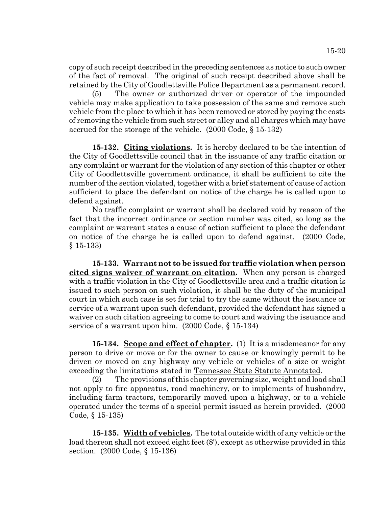copy of such receipt described in the preceding sentences as notice to such owner of the fact of removal. The original of such receipt described above shall be retained by the City of Goodlettsville Police Department as a permanent record.

(5) The owner or authorized driver or operator of the impounded vehicle may make application to take possession of the same and remove such vehicle from the place to which it has been removed or stored by paying the costs of removing the vehicle from such street or alley and all charges which may have accrued for the storage of the vehicle. (2000 Code, § 15-132)

**15-132. Citing violations.** It is hereby declared to be the intention of the City of Goodlettsville council that in the issuance of any traffic citation or any complaint or warrant for the violation of any section of this chapter or other City of Goodlettsville government ordinance, it shall be sufficient to cite the number of the section violated, together with a brief statement of cause of action sufficient to place the defendant on notice of the charge he is called upon to defend against.

No traffic complaint or warrant shall be declared void by reason of the fact that the incorrect ordinance or section number was cited, so long as the complaint or warrant states a cause of action sufficient to place the defendant on notice of the charge he is called upon to defend against. (2000 Code, § 15-133)

**15-133. Warrant not to be issued for traffic violation when person cited signs waiver of warrant on citation.** When any person is charged with a traffic violation in the City of Goodlettsville area and a traffic citation is issued to such person on such violation, it shall be the duty of the municipal court in which such case is set for trial to try the same without the issuance or service of a warrant upon such defendant, provided the defendant has signed a waiver on such citation agreeing to come to court and waiving the issuance and service of a warrant upon him. (2000 Code, § 15-134)

**15-134. Scope and effect of chapter.** (1) It is a misdemeanor for any person to drive or move or for the owner to cause or knowingly permit to be driven or moved on any highway any vehicle or vehicles of a size or weight exceeding the limitations stated in Tennessee State Statute Annotated.

(2) The provisions of this chapter governing size, weight and load shall not apply to fire apparatus, road machinery, or to implements of husbandry, including farm tractors, temporarily moved upon a highway, or to a vehicle operated under the terms of a special permit issued as herein provided. (2000 Code, § 15-135)

**15-135. Width of vehicles.** The total outside width of any vehicle or the load thereon shall not exceed eight feet (8'), except as otherwise provided in this section. (2000 Code, § 15-136)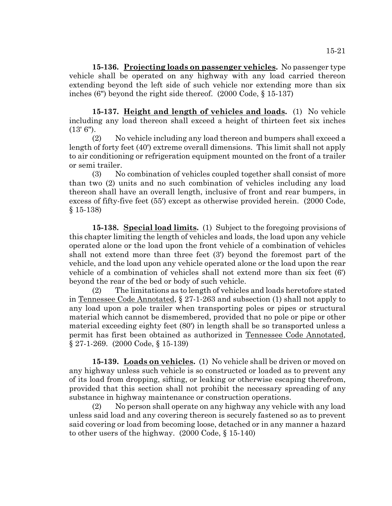**15-136. Projecting loads on passenger vehicles.** No passenger type vehicle shall be operated on any highway with any load carried thereon extending beyond the left side of such vehicle nor extending more than six inches (6") beyond the right side thereof. (2000 Code, § 15-137)

**15-137. Height and length of vehicles and loads.** (1) No vehicle including any load thereon shall exceed a height of thirteen feet six inches (13' 6").

(2) No vehicle including any load thereon and bumpers shall exceed a length of forty feet (40') extreme overall dimensions. This limit shall not apply to air conditioning or refrigeration equipment mounted on the front of a trailer or semi trailer.

(3) No combination of vehicles coupled together shall consist of more than two (2) units and no such combination of vehicles including any load thereon shall have an overall length, inclusive of front and rear bumpers, in excess of fifty-five feet (55') except as otherwise provided herein. (2000 Code, § 15-138)

**15-138. Special load limits.** (1) Subject to the foregoing provisions of this chapter limiting the length of vehicles and loads, the load upon any vehicle operated alone or the load upon the front vehicle of a combination of vehicles shall not extend more than three feet (3') beyond the foremost part of the vehicle, and the load upon any vehicle operated alone or the load upon the rear vehicle of a combination of vehicles shall not extend more than six feet (6') beyond the rear of the bed or body of such vehicle.

(2) The limitations as to length of vehicles and loads heretofore stated in Tennessee Code Annotated, § 27-1-263 and subsection (1) shall not apply to any load upon a pole trailer when transporting poles or pipes or structural material which cannot be dismembered, provided that no pole or pipe or other material exceeding eighty feet (80') in length shall be so transported unless a permit has first been obtained as authorized in Tennessee Code Annotated, § 27-1-269. (2000 Code, § 15-139)

**15-139. Loads on vehicles.** (1) No vehicle shall be driven or moved on any highway unless such vehicle is so constructed or loaded as to prevent any of its load from dropping, sifting, or leaking or otherwise escaping therefrom, provided that this section shall not prohibit the necessary spreading of any substance in highway maintenance or construction operations.

(2) No person shall operate on any highway any vehicle with any load unless said load and any covering thereon is securely fastened so as to prevent said covering or load from becoming loose, detached or in any manner a hazard to other users of the highway. (2000 Code, § 15-140)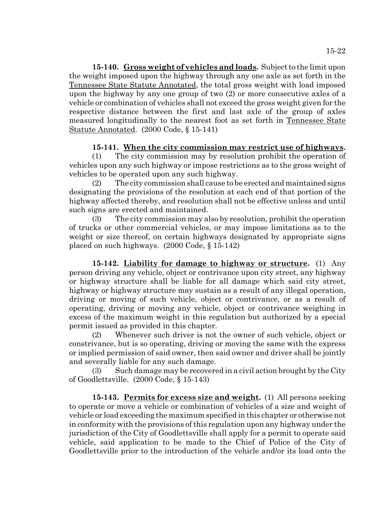**15-140. Gross weight of vehicles and loads.** Subject to the limit upon the weight imposed upon the highway through any one axle as set forth in the Tennessee State Statute Annotated, the total gross weight with load imposed upon the highway by any one group of two (2) or more consecutive axles of a vehicle or combination of vehicles shall not exceed the gross weight given for the respective distance between the first and last axle of the group of axles measured longitudinally to the nearest foot as set forth in Tennessee State Statute Annotated. (2000 Code, § 15-141)

# **15-141. When the city commission may restrict use of highways.**

(1) The city commission may by resolution prohibit the operation of vehicles upon any such highway or impose restrictions as to the gross weight of vehicles to be operated upon any such highway.

(2) The city commission shall cause to be erected and maintained signs designating the provisions of the resolution at each end of that portion of the highway affected thereby, and resolution shall not be effective unless and until such signs are erected and maintained.

(3) The city commission may also by resolution, prohibit the operation of trucks or other commercial vehicles, or may impose limitations as to the weight or size thereof, on certain highways designated by appropriate signs placed on such highways. (2000 Code, § 15-142)

**15-142. Liability for damage to highway or structure.** (1) Any person driving any vehicle, object or contrivance upon city street, any highway or highway structure shall be liable for all damage which said city street, highway or highway structure may sustain as a result of any illegal operation, driving or moving of such vehicle, object or contrivance, or as a result of operating, driving or moving any vehicle, object or contrivance weighing in excess of the maximum weight in this regulation but authorized by a special permit issued as provided in this chapter.

(2) Whenever such driver is not the owner of such vehicle, object or constrivance, but is so operating, driving or moving the same with the express or implied permission of said owner, then said owner and driver shall be jointly and severally liable for any such damage.

(3) Such damage may be recovered in a civil action brought by the City of Goodlettsville. (2000 Code, § 15-143)

**15-143. Permits for excess size and weight.** (1) All persons seeking to operate or move a vehicle or combination of vehicles of a size and weight of vehicle or load exceeding the maximum specified in this chapter or otherwise not in conformity with the provisions of this regulation upon any highway under the jurisdiction of the City of Goodlettsville shall apply for a permit to operate said vehicle, said application to be made to the Chief of Police of the City of Goodlettsville prior to the introduction of the vehicle and/or its load onto the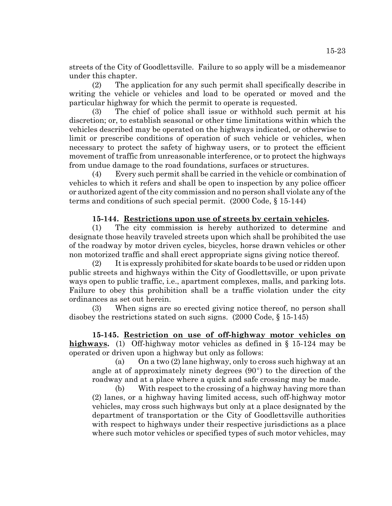streets of the City of Goodlettsville. Failure to so apply will be a misdemeanor under this chapter.

(2) The application for any such permit shall specifically describe in writing the vehicle or vehicles and load to be operated or moved and the particular highway for which the permit to operate is requested.

(3) The chief of police shall issue or withhold such permit at his discretion; or, to establish seasonal or other time limitations within which the vehicles described may be operated on the highways indicated, or otherwise to limit or prescribe conditions of operation of such vehicle or vehicles, when necessary to protect the safety of highway users, or to protect the efficient movement of traffic from unreasonable interference, or to protect the highways from undue damage to the road foundations, surfaces or structures.

(4) Every such permit shall be carried in the vehicle or combination of vehicles to which it refers and shall be open to inspection by any police officer or authorized agent of the city commission and no person shall violate any of the terms and conditions of such special permit. (2000 Code, § 15-144)

# **15-144. Restrictions upon use of streets by certain vehicles.**

(1) The city commission is hereby authorized to determine and designate those heavily traveled streets upon which shall be prohibited the use of the roadway by motor driven cycles, bicycles, horse drawn vehicles or other non motorized traffic and shall erect appropriate signs giving notice thereof.

(2) It is expressly prohibited for skate boards to be used or ridden upon public streets and highways within the City of Goodlettsville, or upon private ways open to public traffic, i.e., apartment complexes, malls, and parking lots. Failure to obey this prohibition shall be a traffic violation under the city ordinances as set out herein.

(3) When signs are so erected giving notice thereof, no person shall disobey the restrictions stated on such signs. (2000 Code, § 15-145)

**15-145. Restriction on use of off-highway motor vehicles on highways.** (1) Off-highway motor vehicles as defined in § 15-124 may be operated or driven upon a highway but only as follows:

(a) On a two (2) lane highway, only to cross such highway at an angle at of approximately ninety degrees  $(90^{\circ})$  to the direction of the roadway and at a place where a quick and safe crossing may be made.

(b) With respect to the crossing of a highway having more than (2) lanes, or a highway having limited access, such off-highway motor vehicles, may cross such highways but only at a place designated by the department of transportation or the City of Goodlettsville authorities with respect to highways under their respective jurisdictions as a place where such motor vehicles or specified types of such motor vehicles, may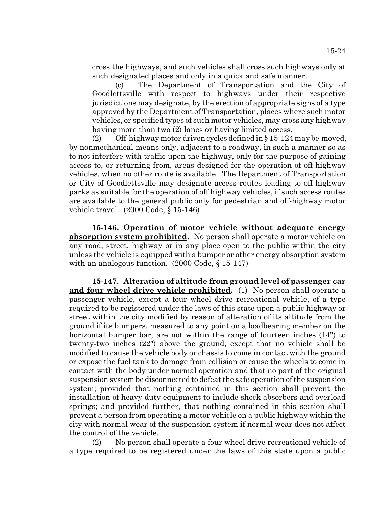cross the highways, and such vehicles shall cross such highways only at such designated places and only in a quick and safe manner.

(c) The Department of Transportation and the City of Goodlettsville with respect to highways under their respective jurisdictions may designate, by the erection of appropriate signs of a type approved by the Department of Transportation, places where such motor vehicles, or specified types of such motor vehicles, may cross any highway having more than two (2) lanes or having limited access.

(2) Off-highway motor driven cycles defined in § 15-124 may be moved, by nonmechanical means only, adjacent to a roadway, in such a manner so as to not interfere with traffic upon the highway, only for the purpose of gaining access to, or returning from, areas designed for the operation of off-highway vehicles, when no other route is available. The Department of Transportation or City of Goodlettsville may designate access routes leading to off-highway parks as suitable for the operation of off highway vehicles, if such access routes are available to the general public only for pedestrian and off-highway motor vehicle travel. (2000 Code, § 15-146)

**15-146. Operation of motor vehicle without adequate energy absorption system prohibited.** No person shall operate a motor vehicle on any road, street, highway or in any place open to the public within the city unless the vehicle is equipped with a bumper or other energy absorption system with an analogous function. (2000 Code, § 15-147)

**15-147. Alteration of altitude from ground level of passenger car and four wheel drive vehicle prohibited.** (1) No person shall operate a passenger vehicle, except a four wheel drive recreational vehicle, of a type required to be registered under the laws of this state upon a public highway or street within the city modified by reason of alteration of its altitude from the ground if its bumpers, measured to any point on a loadbearing member on the horizontal bumper bar, are not within the range of fourteen inches (14") to twenty-two inches (22") above the ground, except that no vehicle shall be modified to cause the vehicle body or chassis to come in contact with the ground or expose the fuel tank to damage from collision or cause the wheels to come in contact with the body under normal operation and that no part of the original suspension system be disconnected to defeat the safe operation of the suspension system; provided that nothing contained in this section shall prevent the installation of heavy duty equipment to include shock absorbers and overload springs; and provided further, that nothing contained in this section shall prevent a person from operating a motor vehicle on a public highway within the city with normal wear of the suspension system if normal wear does not affect the control of the vehicle.

(2) No person shall operate a four wheel drive recreational vehicle of a type required to be registered under the laws of this state upon a public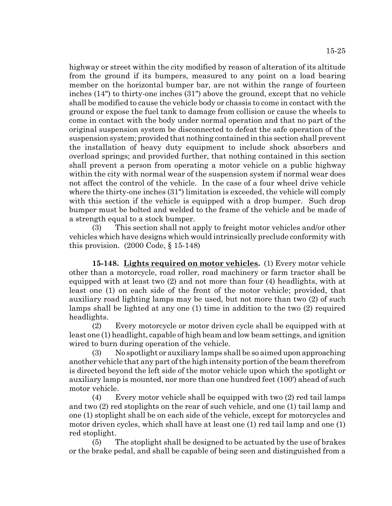highway or street within the city modified by reason of alteration of its altitude from the ground if its bumpers, measured to any point on a load bearing member on the horizontal bumper bar, are not within the range of fourteen inches (14") to thirty-one inches (31") above the ground, except that no vehicle shall be modified to cause the vehicle body or chassis to come in contact with the ground or expose the fuel tank to damage from collision or cause the wheels to come in contact with the body under normal operation and that no part of the original suspension system be disconnected to defeat the safe operation of the suspension system; provided that nothing contained in this section shall prevent the installation of heavy duty equipment to include shock absorbers and overload springs; and provided further, that nothing contained in this section shall prevent a person from operating a motor vehicle on a public highway within the city with normal wear of the suspension system if normal wear does not affect the control of the vehicle. In the case of a four wheel drive vehicle where the thirty-one inches (31") limitation is exceeded, the vehicle will comply with this section if the vehicle is equipped with a drop bumper. Such drop bumper must be bolted and welded to the frame of the vehicle and be made of a strength equal to a stock bumper.

(3) This section shall not apply to freight motor vehicles and/or other vehicles which have designs which would intrinsically preclude conformity with this provision.  $(2000 \text{ Code}, \S 15-148)$ 

**15-148. Lights required on motor vehicles.** (1) Every motor vehicle other than a motorcycle, road roller, road machinery or farm tractor shall be equipped with at least two (2) and not more than four (4) headlights, with at least one (1) on each side of the front of the motor vehicle; provided, that auxiliary road lighting lamps may be used, but not more than two (2) of such lamps shall be lighted at any one (1) time in addition to the two (2) required headlights.

(2) Every motorcycle or motor driven cycle shall be equipped with at least one (1) headlight, capable of high beam and low beam settings, and ignition wired to burn during operation of the vehicle.

(3) No spotlight or auxiliary lamps shall be so aimed upon approaching another vehicle that any part of the high intensity portion of the beam therefrom is directed beyond the left side of the motor vehicle upon which the spotlight or auxiliary lamp is mounted, nor more than one hundred feet (100') ahead of such motor vehicle.

(4) Every motor vehicle shall be equipped with two (2) red tail lamps and two (2) red stoplights on the rear of such vehicle, and one (1) tail lamp and one (1) stoplight shall be on each side of the vehicle, except for motorcycles and motor driven cycles, which shall have at least one (1) red tail lamp and one (1) red stoplight.

(5) The stoplight shall be designed to be actuated by the use of brakes or the brake pedal, and shall be capable of being seen and distinguished from a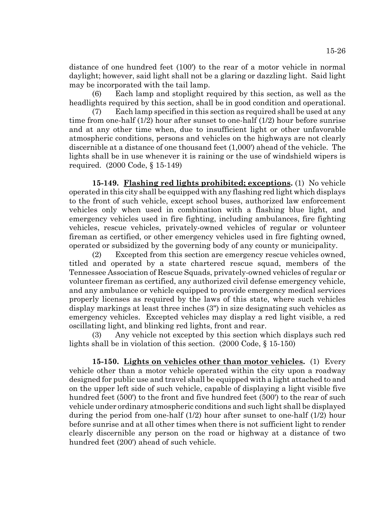distance of one hundred feet (100') to the rear of a motor vehicle in normal daylight; however, said light shall not be a glaring or dazzling light. Said light may be incorporated with the tail lamp.

(6) Each lamp and stoplight required by this section, as well as the headlights required by this section, shall be in good condition and operational.

(7) Each lamp specified in this section as required shall be used at any time from one-half (1/2) hour after sunset to one-half (1/2) hour before sunrise and at any other time when, due to insufficient light or other unfavorable atmospheric conditions, persons and vehicles on the highways are not clearly discernible at a distance of one thousand feet (1,000') ahead of the vehicle. The lights shall be in use whenever it is raining or the use of windshield wipers is required. (2000 Code, § 15-149)

**15-149. Flashing red lights prohibited; exceptions.** (1) No vehicle operated in this city shall be equipped with any flashing red light which displays to the front of such vehicle, except school buses, authorized law enforcement vehicles only when used in combination with a flashing blue light, and emergency vehicles used in fire fighting, including ambulances, fire fighting vehicles, rescue vehicles, privately-owned vehicles of regular or volunteer fireman as certified, or other emergency vehicles used in fire fighting owned, operated or subsidized by the governing body of any county or municipality.

(2) Excepted from this section are emergency rescue vehicles owned, titled and operated by a state chartered rescue squad, members of the Tennessee Association of Rescue Squads, privately-owned vehicles of regular or volunteer fireman as certified, any authorized civil defense emergency vehicle, and any ambulance or vehicle equipped to provide emergency medical services properly licenses as required by the laws of this state, where such vehicles display markings at least three inches (3") in size designating such vehicles as emergency vehicles. Excepted vehicles may display a red light visible, a red oscillating light, and blinking red lights, front and rear.

(3) Any vehicle not excepted by this section which displays such red lights shall be in violation of this section. (2000 Code, § 15-150)

**15-150. Lights on vehicles other than motor vehicles.** (1) Every vehicle other than a motor vehicle operated within the city upon a roadway designed for public use and travel shall be equipped with a light attached to and on the upper left side of such vehicle, capable of displaying a light visible five hundred feet (500') to the front and five hundred feet (500') to the rear of such vehicle under ordinary atmospheric conditions and such light shall be displayed during the period from one-half (1/2) hour after sunset to one-half (1/2) hour before sunrise and at all other times when there is not sufficient light to render clearly discernible any person on the road or highway at a distance of two hundred feet (200') ahead of such vehicle.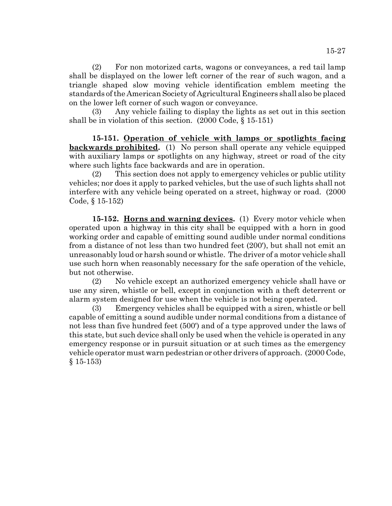(2) For non motorized carts, wagons or conveyances, a red tail lamp shall be displayed on the lower left corner of the rear of such wagon, and a triangle shaped slow moving vehicle identification emblem meeting the standards of the American Society of Agricultural Engineers shall also be placed on the lower left corner of such wagon or conveyance.

(3) Any vehicle failing to display the lights as set out in this section shall be in violation of this section. (2000 Code, § 15-151)

**15-151. Operation of vehicle with lamps or spotlights facing backwards prohibited.** (1) No person shall operate any vehicle equipped with auxiliary lamps or spotlights on any highway, street or road of the city where such lights face backwards and are in operation.

(2) This section does not apply to emergency vehicles or public utility vehicles; nor does it apply to parked vehicles, but the use of such lights shall not interfere with any vehicle being operated on a street, highway or road. (2000 Code, § 15-152)

**15-152. Horns and warning devices.** (1) Every motor vehicle when operated upon a highway in this city shall be equipped with a horn in good working order and capable of emitting sound audible under normal conditions from a distance of not less than two hundred feet (200'), but shall not emit an unreasonably loud or harsh sound or whistle. The driver of a motor vehicle shall use such horn when reasonably necessary for the safe operation of the vehicle, but not otherwise.

(2) No vehicle except an authorized emergency vehicle shall have or use any siren, whistle or bell, except in conjunction with a theft deterrent or alarm system designed for use when the vehicle is not being operated.

(3) Emergency vehicles shall be equipped with a siren, whistle or bell capable of emitting a sound audible under normal conditions from a distance of not less than five hundred feet (500') and of a type approved under the laws of this state, but such device shall only be used when the vehicle is operated in any emergency response or in pursuit situation or at such times as the emergency vehicle operator must warn pedestrian or other drivers of approach. (2000 Code, § 15-153)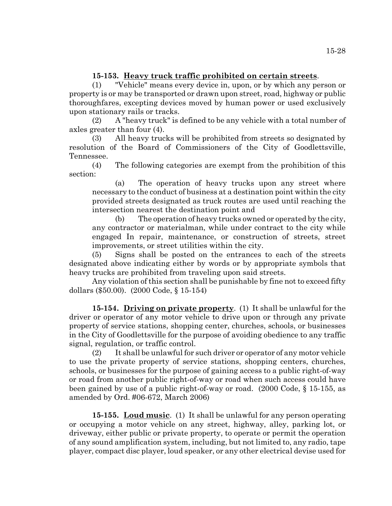# **15-153. Heavy truck traffic prohibited on certain streets**.

(1) "Vehicle" means every device in, upon, or by which any person or property is or may be transported or drawn upon street, road, highway or public thoroughfares, excepting devices moved by human power or used exclusively upon stationary rails or tracks.

(2) A "heavy truck" is defined to be any vehicle with a total number of axles greater than four (4).

(3) All heavy trucks will be prohibited from streets so designated by resolution of the Board of Commissioners of the City of Goodlettsville, Tennessee.

(4) The following categories are exempt from the prohibition of this section:

(a) The operation of heavy trucks upon any street where necessary to the conduct of business at a destination point within the city provided streets designated as truck routes are used until reaching the intersection nearest the destination point and

(b) The operation of heavy trucks owned or operated by the city, any contractor or materialman, while under contract to the city while engaged In repair, maintenance, or construction of streets, street improvements, or street utilities within the city.

(5) Signs shall be posted on the entrances to each of the streets designated above indicating either by words or by appropriate symbols that heavy trucks are prohibited from traveling upon said streets.

Any violation of this section shall be punishable by fine not to exceed fifty dollars (\$50.00). (2000 Code, § 15-154)

**15-154. Driving on private property**. (1) It shall be unlawful for the driver or operator of any motor vehicle to drive upon or through any private property of service stations, shopping center, churches, schools, or businesses in the City of Goodlettsville for the purpose of avoiding obedience to any traffic signal, regulation, or traffic control.

(2) It shall be unlawful for such driver or operator of any motor vehicle to use the private property of service stations, shopping centers, churches, schools, or businesses for the purpose of gaining access to a public right-of-way or road from another public right-of-way or road when such access could have been gained by use of a public right-of-way or road. (2000 Code, § 15-155, as amended by Ord. #06-672, March 2006)

**15-155. Loud music**. (1) It shall be unlawful for any person operating or occupying a motor vehicle on any street, highway, alley, parking lot, or driveway, either public or private property, to operate or permit the operation of any sound amplification system, including, but not limited to, any radio, tape player, compact disc player, loud speaker, or any other electrical devise used for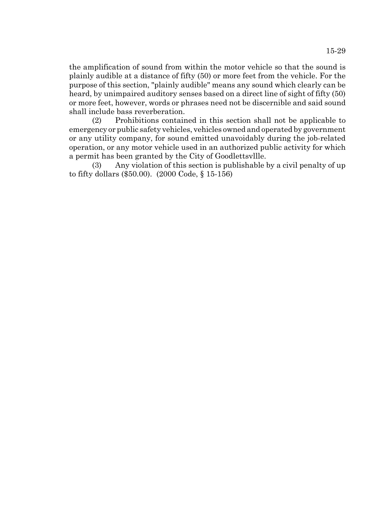the amplification of sound from within the motor vehicle so that the sound is plainly audible at a distance of fifty (50) or more feet from the vehicle. For the purpose of this section, "plainly audible" means any sound which clearly can be heard, by unimpaired auditory senses based on a direct line of sight of fifty (50) or more feet, however, words or phrases need not be discernible and said sound shall include bass reverberation.

(2) Prohibitions contained in this section shall not be applicable to emergency or public safety vehicles, vehicles owned and operated by government or any utility company, for sound emitted unavoidably during the job-related operation, or any motor vehicle used in an authorized public activity for which a permit has been granted by the City of Goodlettsvllle.

(3) Any violation of this section is publishable by a civil penalty of up to fifty dollars (\$50.00). (2000 Code, § 15-156)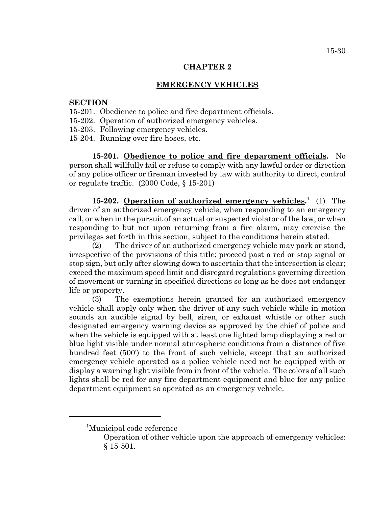#### **CHAPTER 2**

## **EMERGENCY VEHICLES**

## **SECTION**

- 15-201. Obedience to police and fire department officials.
- 15-202. Operation of authorized emergency vehicles.
- 15-203. Following emergency vehicles.
- 15-204. Running over fire hoses, etc.

**15-201. Obedience to police and fire department officials.** No person shall willfully fail or refuse to comply with any lawful order or direction of any police officer or fireman invested by law with authority to direct, control or regulate traffic. (2000 Code, § 15-201)

15-202. **Operation of authorized emergency vehicles.**<sup>1</sup> (1) The driver of an authorized emergency vehicle, when responding to an emergency call, or when in the pursuit of an actual or suspected violator of the law, or when responding to but not upon returning from a fire alarm, may exercise the privileges set forth in this section, subject to the conditions herein stated.

(2) The driver of an authorized emergency vehicle may park or stand, irrespective of the provisions of this title; proceed past a red or stop signal or stop sign, but only after slowing down to ascertain that the intersection is clear; exceed the maximum speed limit and disregard regulations governing direction of movement or turning in specified directions so long as he does not endanger life or property.

(3) The exemptions herein granted for an authorized emergency vehicle shall apply only when the driver of any such vehicle while in motion sounds an audible signal by bell, siren, or exhaust whistle or other such designated emergency warning device as approved by the chief of police and when the vehicle is equipped with at least one lighted lamp displaying a red or blue light visible under normal atmospheric conditions from a distance of five hundred feet (500') to the front of such vehicle, except that an authorized emergency vehicle operated as a police vehicle need not be equipped with or display a warning light visible from in front of the vehicle. The colors of all such lights shall be red for any fire department equipment and blue for any police department equipment so operated as an emergency vehicle.

<sup>1</sup> Municipal code reference

Operation of other vehicle upon the approach of emergency vehicles: § 15-501.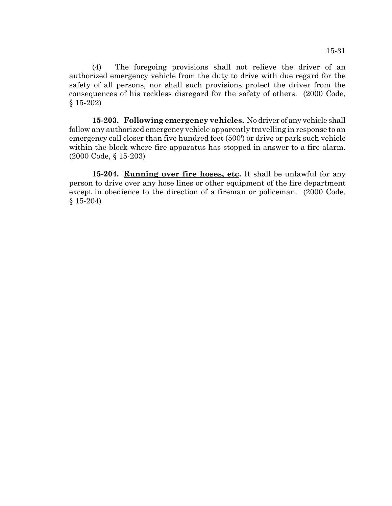(4) The foregoing provisions shall not relieve the driver of an authorized emergency vehicle from the duty to drive with due regard for the safety of all persons, nor shall such provisions protect the driver from the consequences of his reckless disregard for the safety of others. (2000 Code, § 15-202)

**15-203. Following emergency vehicles.** No driver of any vehicle shall follow any authorized emergency vehicle apparently travelling in response to an emergency call closer than five hundred feet (500') or drive or park such vehicle within the block where fire apparatus has stopped in answer to a fire alarm. (2000 Code, § 15-203)

15-204. **Running over fire hoses, etc.** It shall be unlawful for any person to drive over any hose lines or other equipment of the fire department except in obedience to the direction of a fireman or policeman. (2000 Code, § 15-204)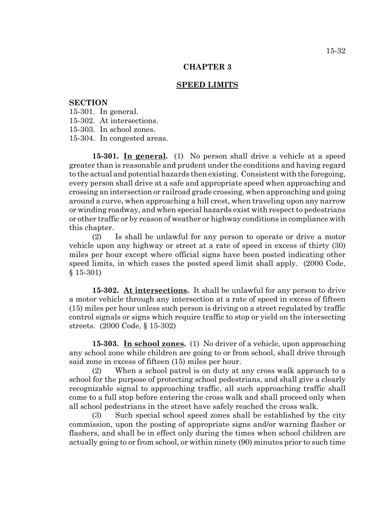### **CHAPTER 3**

#### **SPEED LIMITS**

#### **SECTION**

15-301. In general.

15-302. At intersections.

15-303. In school zones.

15-304. In congested areas.

**15-301. In general.** (1) No person shall drive a vehicle at a speed greater than is reasonable and prudent under the conditions and having regard to the actual and potential hazards then existing. Consistent with the foregoing, every person shall drive at a safe and appropriate speed when approaching and crossing an intersection or railroad grade crossing, when approaching and going around a curve, when approaching a hill crest, when traveling upon any narrow or winding roadway, and when special hazards exist with respect to pedestrians or other traffic or by reason of weather or highway conditions in compliance with this chapter.

(2) Is shall be unlawful for any person to operate or drive a motor vehicle upon any highway or street at a rate of speed in excess of thirty (30) miles per hour except where official signs have been posted indicating other speed limits, in which cases the posted speed limit shall apply. (2000 Code, § 15-301)

**15-302. At intersections.** It shall be unlawful for any person to drive a motor vehicle through any intersection at a rate of speed in excess of fifteen (15) miles per hour unless such person is driving on a street regulated by traffic control signals or signs which require traffic to stop or yield on the intersecting streets. (2000 Code, § 15-302)

**15-303. In school zones.** (1) No driver of a vehicle, upon approaching any school zone while children are going to or from school, shall drive through said zone in excess of fifteen (15) miles per hour.

(2) When a school patrol is on duty at any cross walk approach to a school for the purpose of protecting school pedestrians, and shall give a clearly recognizable signal to approaching traffic, all such approaching traffic shall come to a full stop before entering the cross walk and shall proceed only when all school pedestrians in the street have safely reached the cross walk.

(3) Such special school speed zones shall be established by the city commission, upon the posting of appropriate signs and/or warning flasher or flashers, and shall be in effect only during the times when school children are actually going to or from school, or within ninety (90) minutes prior to such time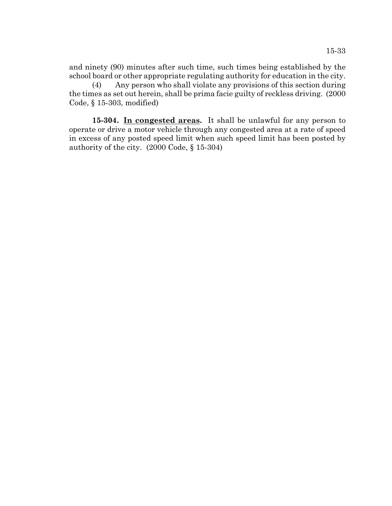and ninety (90) minutes after such time, such times being established by the school board or other appropriate regulating authority for education in the city.

(4) Any person who shall violate any provisions of this section during the times as set out herein, shall be prima facie guilty of reckless driving. (2000 Code, § 15-303, modified)

**15-304. In congested areas.** It shall be unlawful for any person to operate or drive a motor vehicle through any congested area at a rate of speed in excess of any posted speed limit when such speed limit has been posted by authority of the city. (2000 Code, § 15-304)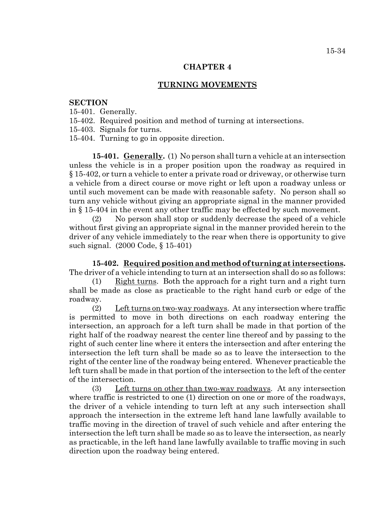#### **CHAPTER 4**

## **TURNING MOVEMENTS**

#### **SECTION**

- 15-401. Generally.
- 15-402. Required position and method of turning at intersections.
- 15-403. Signals for turns.
- 15-404. Turning to go in opposite direction.

**15-401. Generally.** (1) No person shall turn a vehicle at an intersection unless the vehicle is in a proper position upon the roadway as required in § 15-402, or turn a vehicle to enter a private road or driveway, or otherwise turn a vehicle from a direct course or move right or left upon a roadway unless or until such movement can be made with reasonable safety. No person shall so turn any vehicle without giving an appropriate signal in the manner provided in § 15-404 in the event any other traffic may be effected by such movement.

(2) No person shall stop or suddenly decrease the speed of a vehicle without first giving an appropriate signal in the manner provided herein to the driver of any vehicle immediately to the rear when there is opportunity to give such signal. (2000 Code, § 15-401)

**15-402. Required position and method of turning at intersections.** The driver of a vehicle intending to turn at an intersection shall do so as follows:

(1) Right turns. Both the approach for a right turn and a right turn shall be made as close as practicable to the right hand curb or edge of the roadway.

(2) Left turns on two-way roadways. At any intersection where traffic is permitted to move in both directions on each roadway entering the intersection, an approach for a left turn shall be made in that portion of the right half of the roadway nearest the center line thereof and by passing to the right of such center line where it enters the intersection and after entering the intersection the left turn shall be made so as to leave the intersection to the right of the center line of the roadway being entered. Whenever practicable the left turn shall be made in that portion of the intersection to the left of the center of the intersection.

(3) Left turns on other than two-way roadways. At any intersection where traffic is restricted to one (1) direction on one or more of the roadways, the driver of a vehicle intending to turn left at any such intersection shall approach the intersection in the extreme left hand lane lawfully available to traffic moving in the direction of travel of such vehicle and after entering the intersection the left turn shall be made so as to leave the intersection, as nearly as practicable, in the left hand lane lawfully available to traffic moving in such direction upon the roadway being entered.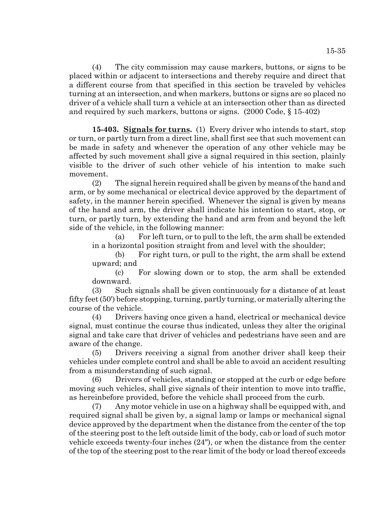(4) The city commission may cause markers, buttons, or signs to be placed within or adjacent to intersections and thereby require and direct that a different course from that specified in this section be traveled by vehicles turning at an intersection, and when markers, buttons or signs are so placed no driver of a vehicle shall turn a vehicle at an intersection other than as directed and required by such markers, buttons or signs. (2000 Code, § 15-402)

**15-403. Signals for turns.** (1) Every driver who intends to start, stop or turn, or partly turn from a direct line, shall first see that such movement can be made in safety and whenever the operation of any other vehicle may be affected by such movement shall give a signal required in this section, plainly visible to the driver of such other vehicle of his intention to make such movement.

(2) The signal herein required shall be given by means of the hand and arm, or by some mechanical or electrical device approved by the department of safety, in the manner herein specified. Whenever the signal is given by means of the hand and arm, the driver shall indicate his intention to start, stop, or turn, or partly turn, by extending the hand and arm from and beyond the left side of the vehicle, in the following manner:

(a) For left turn, or to pull to the left, the arm shall be extended in a horizontal position straight from and level with the shoulder;

(b) For right turn, or pull to the right, the arm shall be extend upward; and

(c) For slowing down or to stop, the arm shall be extended downward.

(3) Such signals shall be given continuously for a distance of at least fifty feet (50') before stopping, turning, partly turning, or materially altering the course of the vehicle.

(4) Drivers having once given a hand, electrical or mechanical device signal, must continue the course thus indicated, unless they alter the original signal and take care that driver of vehicles and pedestrians have seen and are aware of the change.

(5) Drivers receiving a signal from another driver shall keep their vehicles under complete control and shall be able to avoid an accident resulting from a misunderstanding of such signal.

(6) Drivers of vehicles, standing or stopped at the curb or edge before moving such vehicles, shall give signals of their intention to move into traffic, as hereinbefore provided, before the vehicle shall proceed from the curb.

(7) Any motor vehicle in use on a highway shall be equipped with, and required signal shall be given by, a signal lamp or lamps or mechanical signal device approved by the department when the distance from the center of the top of the steering post to the left outside limit of the body, cab or load of such motor vehicle exceeds twenty-four inches (24"), or when the distance from the center of the top of the steering post to the rear limit of the body or load thereof exceeds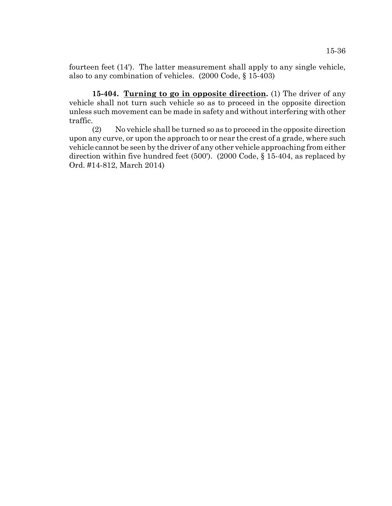fourteen feet (14'). The latter measurement shall apply to any single vehicle, also to any combination of vehicles. (2000 Code, § 15-403)

**15-404. Turning to go in opposite direction.** (1) The driver of any vehicle shall not turn such vehicle so as to proceed in the opposite direction unless such movement can be made in safety and without interfering with other traffic.

(2) No vehicle shall be turned so as to proceed in the opposite direction upon any curve, or upon the approach to or near the crest of a grade, where such vehicle cannot be seen by the driver of any other vehicle approaching from either direction within five hundred feet (500'). (2000 Code, § 15-404, as replaced by Ord. #14-812, March 2014)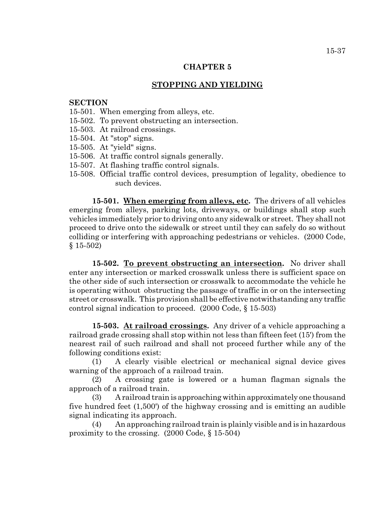## **CHAPTER 5**

## **STOPPING AND YIELDING**

## **SECTION**

- 15-501. When emerging from alleys, etc.
- 15-502. To prevent obstructing an intersection.
- 15-503. At railroad crossings.
- 15-504. At "stop" signs.
- 15-505. At "yield" signs.
- 15-506. At traffic control signals generally.
- 15-507. At flashing traffic control signals.
- 15-508. Official traffic control devices, presumption of legality, obedience to such devices.

**15-501. When emerging from alleys, etc.** The drivers of all vehicles emerging from alleys, parking lots, driveways, or buildings shall stop such vehicles immediately prior to driving onto any sidewalk or street. They shall not proceed to drive onto the sidewalk or street until they can safely do so without colliding or interfering with approaching pedestrians or vehicles. (2000 Code, § 15-502)

**15-502. To prevent obstructing an intersection.** No driver shall enter any intersection or marked crosswalk unless there is sufficient space on the other side of such intersection or crosswalk to accommodate the vehicle he is operating without obstructing the passage of traffic in or on the intersecting street or crosswalk. This provision shall be effective notwithstanding any traffic control signal indication to proceed. (2000 Code, § 15-503)

**15-503. At railroad crossings.** Any driver of a vehicle approaching a railroad grade crossing shall stop within not less than fifteen feet (15') from the nearest rail of such railroad and shall not proceed further while any of the following conditions exist:

(1) A clearly visible electrical or mechanical signal device gives warning of the approach of a railroad train.

(2) A crossing gate is lowered or a human flagman signals the approach of a railroad train.

(3) A railroad train is approaching within approximately one thousand five hundred feet (1,500') of the highway crossing and is emitting an audible signal indicating its approach.

(4) An approaching railroad train is plainly visible and is in hazardous proximity to the crossing. (2000 Code, § 15-504)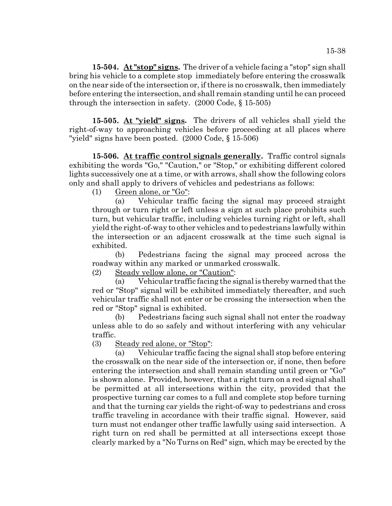**15-504. At "stop" signs.** The driver of a vehicle facing a "stop" sign shall bring his vehicle to a complete stop immediately before entering the crosswalk on the near side of the intersection or, if there is no crosswalk, then immediately before entering the intersection, and shall remain standing until he can proceed through the intersection in safety. (2000 Code, § 15-505)

**15-505. At "yield" signs.** The drivers of all vehicles shall yield the right-of-way to approaching vehicles before proceeding at all places where "yield" signs have been posted. (2000 Code, § 15-506)

**15-506. At traffic control signals generally.** Traffic control signals exhibiting the words "Go," "Caution," or "Stop," or exhibiting different colored lights successively one at a time, or with arrows, shall show the following colors only and shall apply to drivers of vehicles and pedestrians as follows:

(1) Green alone, or "Go":

(a) Vehicular traffic facing the signal may proceed straight through or turn right or left unless a sign at such place prohibits such turn, but vehicular traffic, including vehicles turning right or left, shall yield the right-of-way to other vehicles and to pedestrians lawfully within the intersection or an adjacent crosswalk at the time such signal is exhibited.

(b) Pedestrians facing the signal may proceed across the roadway within any marked or unmarked crosswalk.

(2) Steady yellow alone, or "Caution":

(a) Vehicular traffic facing the signal is thereby warned that the red or "Stop" signal will be exhibited immediately thereafter, and such vehicular traffic shall not enter or be crossing the intersection when the red or "Stop" signal is exhibited.

(b) Pedestrians facing such signal shall not enter the roadway unless able to do so safely and without interfering with any vehicular traffic.

(3) Steady red alone, or "Stop":

(a) Vehicular traffic facing the signal shall stop before entering the crosswalk on the near side of the intersection or, if none, then before entering the intersection and shall remain standing until green or "Go" is shown alone. Provided, however, that a right turn on a red signal shall be permitted at all intersections within the city, provided that the prospective turning car comes to a full and complete stop before turning and that the turning car yields the right-of-way to pedestrians and cross traffic traveling in accordance with their traffic signal. However, said turn must not endanger other traffic lawfully using said intersection. A right turn on red shall be permitted at all intersections except those clearly marked by a "No Turns on Red" sign, which may be erected by the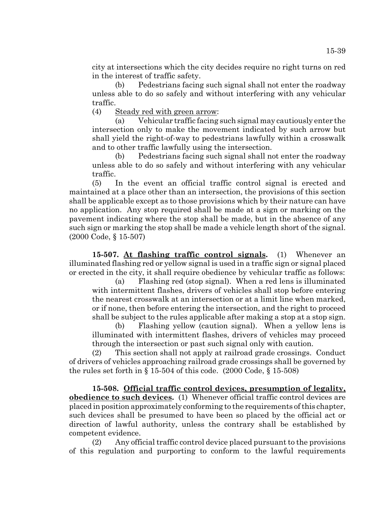(b) Pedestrians facing such signal shall not enter the roadway unless able to do so safely and without interfering with any vehicular traffic.

(4) Steady red with green arrow:

(a) Vehicular traffic facing such signal may cautiously enter the intersection only to make the movement indicated by such arrow but shall yield the right-of-way to pedestrians lawfully within a crosswalk and to other traffic lawfully using the intersection.

(b) Pedestrians facing such signal shall not enter the roadway unless able to do so safely and without interfering with any vehicular traffic.

(5) In the event an official traffic control signal is erected and maintained at a place other than an intersection, the provisions of this section shall be applicable except as to those provisions which by their nature can have no application. Any stop required shall be made at a sign or marking on the pavement indicating where the stop shall be made, but in the absence of any such sign or marking the stop shall be made a vehicle length short of the signal. (2000 Code, § 15-507)

**15-507. At flashing traffic control signals.** (1) Whenever an illuminated flashing red or yellow signal is used in a traffic sign or signal placed or erected in the city, it shall require obedience by vehicular traffic as follows:

(a) Flashing red (stop signal). When a red lens is illuminated with intermittent flashes, drivers of vehicles shall stop before entering the nearest crosswalk at an intersection or at a limit line when marked, or if none, then before entering the intersection, and the right to proceed shall be subject to the rules applicable after making a stop at a stop sign.

(b) Flashing yellow (caution signal). When a yellow lens is illuminated with intermittent flashes, drivers of vehicles may proceed through the intersection or past such signal only with caution.

(2) This section shall not apply at railroad grade crossings. Conduct of drivers of vehicles approaching railroad grade crossings shall be governed by the rules set forth in  $\S 15-504$  of this code.  $(2000 \text{ Code}, \S 15-508)$ 

**15-508. Official traffic control devices, presumption of legality, obedience to such devices.** (1) Whenever official traffic control devices are placed in position approximately conforming to the requirements of this chapter, such devices shall be presumed to have been so placed by the official act or direction of lawful authority, unless the contrary shall be established by competent evidence.

(2) Any official traffic control device placed pursuant to the provisions of this regulation and purporting to conform to the lawful requirements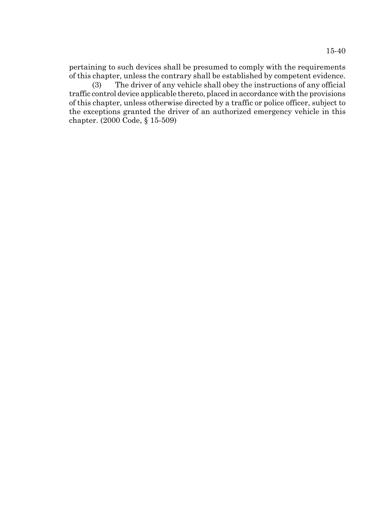pertaining to such devices shall be presumed to comply with the requirements of this chapter, unless the contrary shall be established by competent evidence.

(3) The driver of any vehicle shall obey the instructions of any official traffic control device applicable thereto, placed in accordance with the provisions of this chapter, unless otherwise directed by a traffic or police officer, subject to the exceptions granted the driver of an authorized emergency vehicle in this chapter. (2000 Code, § 15-509)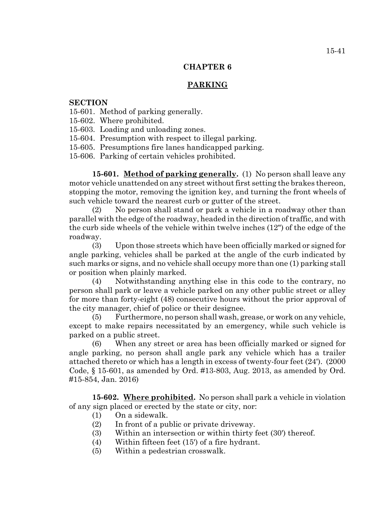# **CHAPTER 6**

# **PARKING**

# **SECTION**

- 15-601. Method of parking generally.
- 15-602. Where prohibited.
- 15-603. Loading and unloading zones.
- 15-604. Presumption with respect to illegal parking.
- 15-605. Presumptions fire lanes handicapped parking.
- 15-606. Parking of certain vehicles prohibited.

**15-601. Method of parking generally.** (1) No person shall leave any motor vehicle unattended on any street without first setting the brakes thereon, stopping the motor, removing the ignition key, and turning the front wheels of such vehicle toward the nearest curb or gutter of the street.

(2) No person shall stand or park a vehicle in a roadway other than parallel with the edge of the roadway, headed in the direction of traffic, and with the curb side wheels of the vehicle within twelve inches (12") of the edge of the roadway.

(3) Upon those streets which have been officially marked or signed for angle parking, vehicles shall be parked at the angle of the curb indicated by such marks or signs, and no vehicle shall occupy more than one (1) parking stall or position when plainly marked.

(4) Notwithstanding anything else in this code to the contrary, no person shall park or leave a vehicle parked on any other public street or alley for more than forty-eight (48) consecutive hours without the prior approval of the city manager, chief of police or their designee.

(5) Furthermore, no person shall wash, grease, or work on any vehicle, except to make repairs necessitated by an emergency, while such vehicle is parked on a public street.

(6) When any street or area has been officially marked or signed for angle parking, no person shall angle park any vehicle which has a trailer attached thereto or which has a length in excess of twenty-four feet (24'). (2000 Code, § 15-601, as amended by Ord. #13-803, Aug. 2013, as amended by Ord. #15-854, Jan. 2016)

**15-602. Where prohibited.** No person shall park a vehicle in violation of any sign placed or erected by the state or city, nor:

- (1) On a sidewalk.
- (2) In front of a public or private driveway.
- (3) Within an intersection or within thirty feet (30') thereof.
- (4) Within fifteen feet (15') of a fire hydrant.
- (5) Within a pedestrian crosswalk.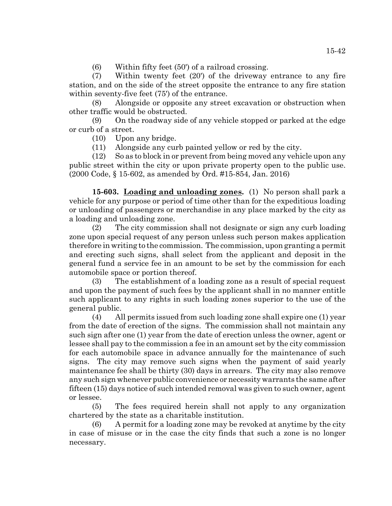(6) Within fifty feet (50') of a railroad crossing.

(7) Within twenty feet (20') of the driveway entrance to any fire station, and on the side of the street opposite the entrance to any fire station within seventy-five feet (75') of the entrance.

(8) Alongside or opposite any street excavation or obstruction when other traffic would be obstructed.

(9) On the roadway side of any vehicle stopped or parked at the edge or curb of a street.

(10) Upon any bridge.

(11) Alongside any curb painted yellow or red by the city.

(12) So as to block in or prevent from being moved any vehicle upon any public street within the city or upon private property open to the public use. (2000 Code, § 15-602, as amended by Ord. #15-854, Jan. 2016)

**15-603. Loading and unloading zones.** (1) No person shall park a vehicle for any purpose or period of time other than for the expeditious loading or unloading of passengers or merchandise in any place marked by the city as a loading and unloading zone.

(2) The city commission shall not designate or sign any curb loading zone upon special request of any person unless such person makes application therefore in writing to the commission. The commission, upon granting a permit and erecting such signs, shall select from the applicant and deposit in the general fund a service fee in an amount to be set by the commission for each automobile space or portion thereof.

(3) The establishment of a loading zone as a result of special request and upon the payment of such fees by the applicant shall in no manner entitle such applicant to any rights in such loading zones superior to the use of the general public.

(4) All permits issued from such loading zone shall expire one (1) year from the date of erection of the signs. The commission shall not maintain any such sign after one (1) year from the date of erection unless the owner, agent or lessee shall pay to the commission a fee in an amount set by the city commission for each automobile space in advance annually for the maintenance of such signs. The city may remove such signs when the payment of said yearly maintenance fee shall be thirty (30) days in arrears. The city may also remove any such sign whenever public convenience or necessity warrants the same after fifteen (15) days notice of such intended removal was given to such owner, agent or lessee.

(5) The fees required herein shall not apply to any organization chartered by the state as a charitable institution.

(6) A permit for a loading zone may be revoked at anytime by the city in case of misuse or in the case the city finds that such a zone is no longer necessary.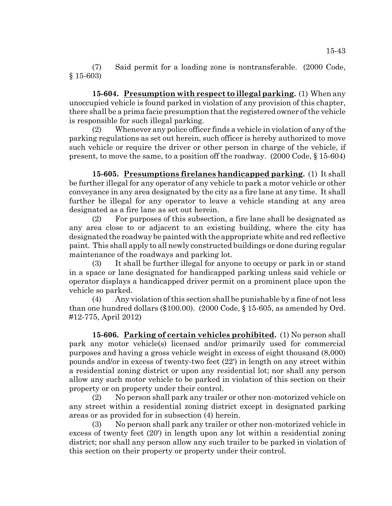(7) Said permit for a loading zone is nontransferable. (2000 Code, § 15-603)

**15-604. Presumption with respect to illegal parking.** (1) When any unoccupied vehicle is found parked in violation of any provision of this chapter, there shall be a prima facie presumption that the registered owner of the vehicle is responsible for such illegal parking.

(2) Whenever any police officer finds a vehicle in violation of any of the parking regulations as set out herein, such officer is hereby authorized to move such vehicle or require the driver or other person in charge of the vehicle, if present, to move the same, to a position off the roadway. (2000 Code, § 15-604)

**15-605. Presumptions firelanes handicapped parking.** (1) It shall be further illegal for any operator of any vehicle to park a motor vehicle or other conveyance in any area designated by the city as a fire lane at any time. It shall further be illegal for any operator to leave a vehicle standing at any area designated as a fire lane as set out herein.

(2) For purposes of this subsection, a fire lane shall be designated as any area close to or adjacent to an existing building, where the city has designated the roadway be painted with the appropriate white and red reflective paint. This shall apply to all newly constructed buildings or done during regular maintenance of the roadways and parking lot.

(3) It shall be further illegal for anyone to occupy or park in or stand in a space or lane designated for handicapped parking unless said vehicle or operator displays a handicapped driver permit on a prominent place upon the vehicle so parked.

(4) Any violation of this section shall be punishable by a fine of not less than one hundred dollars (\$100.00). (2000 Code, § 15-605, as amended by Ord. #12-775, April 2012)

**15-606. Parking of certain vehicles prohibited.** (1) No person shall park any motor vehicle(s) licensed and/or primarily used for commercial purposes and having a gross vehicle weight in excess of eight thousand (8,000) pounds and/or in excess of twenty-two feet (22') in length on any street within a residential zoning district or upon any residential lot; nor shall any person allow any such motor vehicle to be parked in violation of this section on their property or on property under their control.

(2) No person shall park any trailer or other non-motorized vehicle on any street within a residential zoning district except in designated parking areas or as provided for in subsection (4) herein.

(3) No person shall park any trailer or other non-motorized vehicle in excess of twenty feet (20') in length upon any lot within a residential zoning district; nor shall any person allow any such trailer to be parked in violation of this section on their property or property under their control.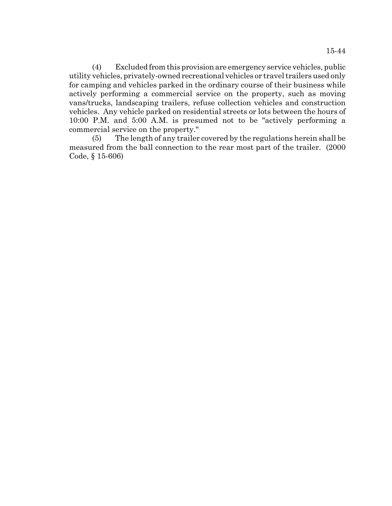(4) Excluded from this provision are emergency service vehicles, public utility vehicles, privately-owned recreational vehicles or travel trailers used only for camping and vehicles parked in the ordinary course of their business while actively performing a commercial service on the property, such as moving vans/trucks, landscaping trailers, refuse collection vehicles and construction vehicles. Any vehicle parked on residential streets or lots between the hours of 10:00 P.M. and 5:00 A.M. is presumed not to be "actively performing a commercial service on the property."

(5) The length of any trailer covered by the regulations herein shall be measured from the ball connection to the rear most part of the trailer. (2000 Code, § 15-606)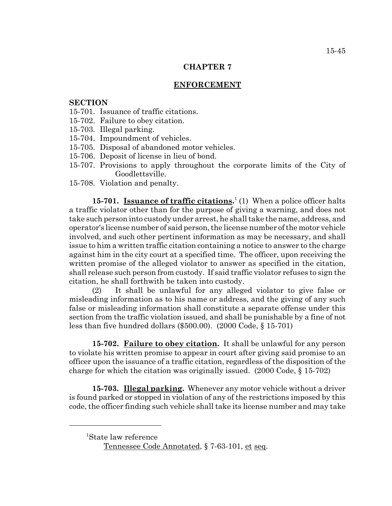## **CHAPTER 7**

## **ENFORCEMENT**

### **SECTION**

- 15-701. Issuance of traffic citations.
- 15-702. Failure to obey citation.
- 15-703. Illegal parking.
- 15-704. Impoundment of vehicles.
- 15-705. Disposal of abandoned motor vehicles.
- 15-706. Deposit of license in lieu of bond.
- 15-707. Provisions to apply throughout the corporate limits of the City of Goodlettsville.
- 15-708. Violation and penalty.

**15-701.** Issuance of traffic citations.<sup>1</sup> (1) When a police officer halts a traffic violator other than for the purpose of giving a warning, and does not take such person into custody under arrest, he shall take the name, address, and operator's license number of said person, the license number of the motor vehicle involved, and such other pertinent information as may be necessary, and shall issue to him a written traffic citation containing a notice to answer to the charge against him in the city court at a specified time. The officer, upon receiving the written promise of the alleged violator to answer as specified in the citation, shall release such person from custody. If said traffic violator refuses to sign the citation, he shall forthwith be taken into custody.

(2) It shall be unlawful for any alleged violator to give false or misleading information as to his name or address, and the giving of any such false or misleading information shall constitute a separate offense under this section from the traffic violation issued, and shall be punishable by a fine of not less than five hundred dollars (\$500.00). (2000 Code, § 15-701)

**15-702. Failure to obey citation.** It shall be unlawful for any person to violate his written promise to appear in court after giving said promise to an officer upon the issuance of a traffic citation, regardless of the disposition of the charge for which the citation was originally issued. (2000 Code, § 15-702)

**15-703. Illegal parking.** Whenever any motor vehicle without a driver is found parked or stopped in violation of any of the restrictions imposed by this code, the officer finding such vehicle shall take its license number and may take

<sup>1</sup> State law reference

Tennessee Code Annotated, § 7-63-101, et seq.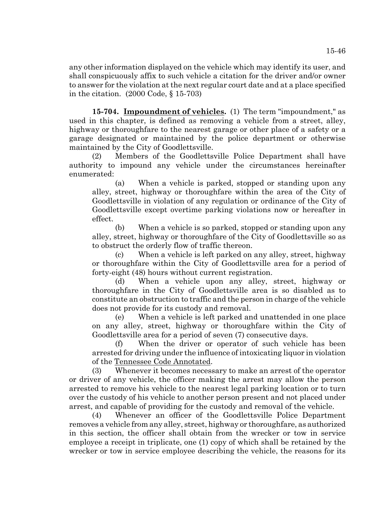any other information displayed on the vehicle which may identify its user, and shall conspicuously affix to such vehicle a citation for the driver and/or owner to answer for the violation at the next regular court date and at a place specified in the citation. (2000 Code, § 15-703)

**15-704. Impoundment of vehicles.** (1) The term "impoundment," as used in this chapter, is defined as removing a vehicle from a street, alley, highway or thoroughfare to the nearest garage or other place of a safety or a garage designated or maintained by the police department or otherwise maintained by the City of Goodlettsville.

(2) Members of the Goodlettsville Police Department shall have authority to impound any vehicle under the circumstances hereinafter enumerated:

(a) When a vehicle is parked, stopped or standing upon any alley, street, highway or thoroughfare within the area of the City of Goodlettsville in violation of any regulation or ordinance of the City of Goodlettsville except overtime parking violations now or hereafter in effect.

(b) When a vehicle is so parked, stopped or standing upon any alley, street, highway or thoroughfare of the City of Goodlettsville so as to obstruct the orderly flow of traffic thereon.

(c) When a vehicle is left parked on any alley, street, highway or thoroughfare within the City of Goodlettsville area for a period of forty-eight (48) hours without current registration.

(d) When a vehicle upon any alley, street, highway or thoroughfare in the City of Goodlettsville area is so disabled as to constitute an obstruction to traffic and the person in charge of the vehicle does not provide for its custody and removal.

(e) When a vehicle is left parked and unattended in one place on any alley, street, highway or thoroughfare within the City of Goodlettsville area for a period of seven (7) consecutive days.

(f) When the driver or operator of such vehicle has been arrested for driving under the influence of intoxicating liquor in violation of the Tennessee Code Annotated.

(3) Whenever it becomes necessary to make an arrest of the operator or driver of any vehicle, the officer making the arrest may allow the person arrested to remove his vehicle to the nearest legal parking location or to turn over the custody of his vehicle to another person present and not placed under arrest, and capable of providing for the custody and removal of the vehicle.

(4) Whenever an officer of the Goodlettsville Police Department removes a vehicle from any alley, street, highway or thoroughfare, as authorized in this section, the officer shall obtain from the wrecker or tow in service employee a receipt in triplicate, one (1) copy of which shall be retained by the wrecker or tow in service employee describing the vehicle, the reasons for its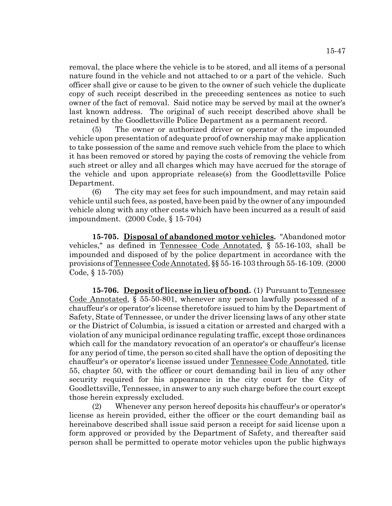removal, the place where the vehicle is to be stored, and all items of a personal nature found in the vehicle and not attached to or a part of the vehicle. Such officer shall give or cause to be given to the owner of such vehicle the duplicate copy of such receipt described in the preceeding sentences as notice to such owner of the fact of removal. Said notice may be served by mail at the owner's last known address. The original of such receipt described above shall be retained by the Goodlettsville Police Department as a permanent record.

(5) The owner or authorized driver or operator of the impounded vehicle upon presentation of adequate proof of ownership may make application to take possession of the same and remove such vehicle from the place to which it has been removed or stored by paying the costs of removing the vehicle from such street or alley and all charges which may have accrued for the storage of the vehicle and upon appropriate release(s) from the Goodlettsville Police Department.

(6) The city may set fees for such impoundment, and may retain said vehicle until such fees, as posted, have been paid by the owner of any impounded vehicle along with any other costs which have been incurred as a result of said impoundment. (2000 Code, § 15-704)

**15-705. Disposal of abandoned motor vehicles.** "Abandoned motor vehicles," as defined in Tennessee Code Annotated, § 55-16-103, shall be impounded and disposed of by the police department in accordance with the provisions of Tennessee Code Annotated, §§ 55-16-103 through 55-16-109. (2000 Code, § 15-705)

**15-706. Deposit of license in lieu of bond.** (1) Pursuant to Tennessee Code Annotated, § 55-50-801, whenever any person lawfully possessed of a chauffeur's or operator's license theretofore issued to him by the Department of Safety, State of Tennessee, or under the driver licensing laws of any other state or the District of Columbia, is issued a citation or arrested and charged with a violation of any municipal ordinance regulating traffic, except those ordinances which call for the mandatory revocation of an operator's or chauffeur's license for any period of time, the person so cited shall have the option of depositing the chauffeur's or operator's license issued under Tennessee Code Annotated, title 55, chapter 50, with the officer or court demanding bail in lieu of any other security required for his appearance in the city court for the City of Goodlettsville, Tennessee, in answer to any such charge before the court except those herein expressly excluded.

(2) Whenever any person hereof deposits his chauffeur's or operator's license as herein provided, either the officer or the court demanding bail as hereinabove described shall issue said person a receipt for said license upon a form approved or provided by the Department of Safety, and thereafter said person shall be permitted to operate motor vehicles upon the public highways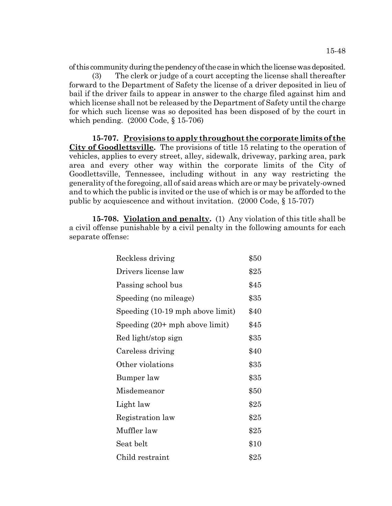of this community during the pendency of the case in which the license was deposited. (3) The clerk or judge of a court accepting the license shall thereafter forward to the Department of Safety the license of a driver deposited in lieu of bail if the driver fails to appear in answer to the charge filed against him and which license shall not be released by the Department of Safety until the charge for which such license was so deposited has been disposed of by the court in which pending. (2000 Code, § 15-706)

**15-707. Provisions to apply throughout the corporate limits of the City of Goodlettsville.** The provisions of title 15 relating to the operation of vehicles, applies to every street, alley, sidewalk, driveway, parking area, park area and every other way within the corporate limits of the City of Goodlettsville, Tennessee, including without in any way restricting the generality of the foregoing, all of said areas which are or may be privately-owned and to which the public is invited or the use of which is or may be afforded to the public by acquiescence and without invitation. (2000 Code, § 15-707)

**15-708. Violation and penalty.** (1) Any violation of this title shall be a civil offense punishable by a civil penalty in the following amounts for each separate offense:

| Reckless driving                 | \$50 |
|----------------------------------|------|
| Drivers license law              | \$25 |
| Passing school bus               | \$45 |
| Speeding (no mileage)            | \$35 |
| Speeding (10-19 mph above limit) | \$40 |
| Speeding $(20+mph)$ above limit) | \$45 |
| Red light/stop sign              | \$35 |
| Careless driving                 | \$40 |
| Other violations                 | \$35 |
| Bumper law                       | \$35 |
| Misdemeanor                      | \$50 |
| Light law                        | \$25 |
| Registration law                 | \$25 |
| Muffler law                      | \$25 |
| Seat belt                        | \$10 |
| Child restraint                  | \$25 |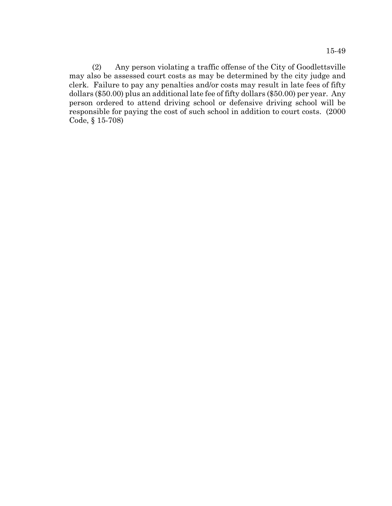(2) Any person violating a traffic offense of the City of Goodlettsville may also be assessed court costs as may be determined by the city judge and clerk. Failure to pay any penalties and/or costs may result in late fees of fifty dollars (\$50.00) plus an additional late fee of fifty dollars (\$50.00) per year. Any person ordered to attend driving school or defensive driving school will be responsible for paying the cost of such school in addition to court costs. (2000 Code, § 15-708)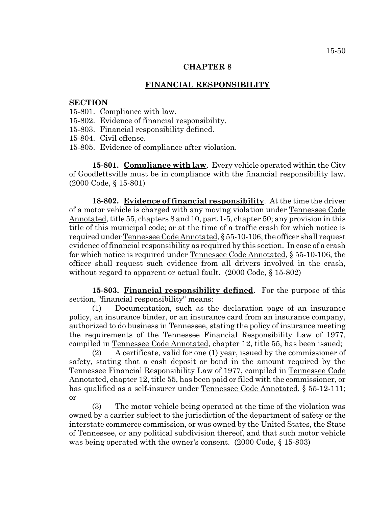## **CHAPTER 8**

# **FINANCIAL RESPONSIBILITY**

#### **SECTION**

- 15-801. Compliance with law.
- 15-802. Evidence of financial responsibility.
- 15-803. Financial responsibility defined.
- 15-804. Civil offense.
- 15-805. Evidence of compliance after violation.

**15-801. Compliance with law**. Every vehicle operated within the City of Goodlettsville must be in compliance with the financial responsibility law. (2000 Code, § 15-801)

**18-802. Evidence of financial responsibility**. At the time the driver of a motor vehicle is charged with any moving violation under Tennessee Code Annotated, title 55, chapters 8 and 10, part 1-5, chapter 50; any provision in this title of this municipal code; or at the time of a traffic crash for which notice is required under Tennessee Code Annotated, § 55-10-106, the officer shall request evidence of financial responsibility as required by this section. In case of a crash for which notice is required under Tennessee Code Annotated, § 55-10-106, the officer shall request such evidence from all drivers involved in the crash, without regard to apparent or actual fault. (2000 Code, § 15-802)

**15-803. Financial responsibility defined**. For the purpose of this section, "financial responsibility" means:

(1) Documentation, such as the declaration page of an insurance policy, an insurance binder, or an insurance card from an insurance company, authorized to do business in Tennessee, stating the policy of insurance meeting the requirements of the Tennessee Financial Responsibility Law of 1977, compiled in Tennessee Code Annotated, chapter 12, title 55, has been issued;

(2) A certificate, valid for one (1) year, issued by the commissioner of safety, stating that a cash deposit or bond in the amount required by the Tennessee Financial Responsibility Law of 1977, compiled in Tennessee Code Annotated, chapter 12, title 55, has been paid or filed with the commissioner, or has qualified as a self-insurer under Tennessee Code Annotated, § 55-12-111; or

(3) The motor vehicle being operated at the time of the violation was owned by a carrier subject to the jurisdiction of the department of safety or the interstate commerce commission, or was owned by the United States, the State of Tennessee, or any political subdivision thereof, and that such motor vehicle was being operated with the owner's consent. (2000 Code, § 15-803)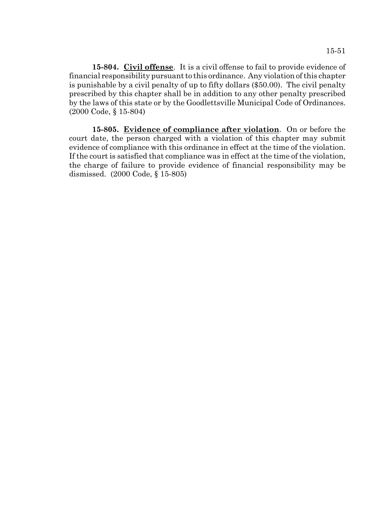**15-804. Civil offense**. It is a civil offense to fail to provide evidence of financial responsibility pursuant to this ordinance. Any violation of this chapter is punishable by a civil penalty of up to fifty dollars (\$50.00). The civil penalty prescribed by this chapter shall be in addition to any other penalty prescribed by the laws of this state or by the Goodlettsville Municipal Code of Ordinances. (2000 Code, § 15-804)

**15-805. Evidence of compliance after violation**. On or before the court date, the person charged with a violation of this chapter may submit evidence of compliance with this ordinance in effect at the time of the violation. If the court is satisfied that compliance was in effect at the time of the violation, the charge of failure to provide evidence of financial responsibility may be dismissed. (2000 Code, § 15-805)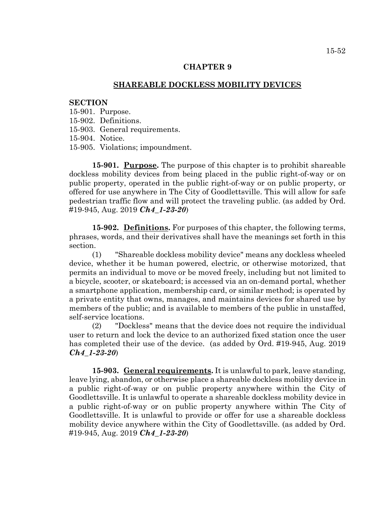### **CHAPTER 9**

#### **SHAREABLE DOCKLESS MOBILITY DEVICES**

#### **SECTION**

15-901. Purpose.

15-902. Definitions.

15-903. General requirements.

15-904. Notice.

15-905. Violations; impoundment.

**15-901. Purpose.** The purpose of this chapter is to prohibit shareable dockless mobility devices from being placed in the public right-of-way or on public property, operated in the public right-of-way or on public property, or offered for use anywhere in The City of Goodlettsville. This will allow for safe pedestrian traffic flow and will protect the traveling public. (as added by Ord. #19-945, Aug. 2019 *Ch4\_1-23-20*)

**15-902. Definitions.** For purposes of this chapter, the following terms, phrases, words, and their derivatives shall have the meanings set forth in this section.

(1) "Shareable dockless mobility device" means any dockless wheeled device, whether it be human powered, electric, or otherwise motorized, that permits an individual to move or be moved freely, including but not limited to a bicycle, scooter, or skateboard; is accessed via an on-demand portal, whether a smartphone application, membership card, or similar method; is operated by a private entity that owns, manages, and maintains devices for shared use by members of the public; and is available to members of the public in unstaffed, self-service locations.

(2) "Dockless" means that the device does not require the individual user to return and lock the device to an authorized fixed station once the user has completed their use of the device. (as added by Ord. #19-945, Aug. 2019 *Ch4\_1-23-20*)

**15-903. General requirements.** It is unlawful to park, leave standing, leave lying, abandon, or otherwise place a shareable dockless mobility device in a public right-of-way or on public property anywhere within the City of Goodlettsville. It is unlawful to operate a shareable dockless mobility device in a public right-of-way or on public property anywhere within The City of Goodlettsville. It is unlawful to provide or offer for use a shareable dockless mobility device anywhere within the City of Goodlettsville. (as added by Ord. #19-945, Aug. 2019 *Ch4\_1-23-20*)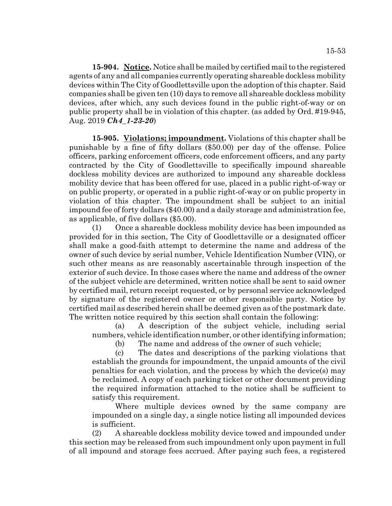**15-904. Notice.** Notice shall be mailed by certified mail to the registered agents of any and all companies currently operating shareable dockless mobility devices within The City of Goodlettsville upon the adoption of this chapter. Said companies shall be given ten (10) days to remove all shareable dockless mobility devices, after which, any such devices found in the public right-of-way or on public property shall be in violation of this chapter. (as added by Ord. #19-945, Aug. 2019 *Ch4\_1-23-20*)

**15-905. Violations; impoundment.** Violations of this chapter shall be punishable by a fine of fifty dollars (\$50.00) per day of the offense. Police officers, parking enforcement officers, code enforcement officers, and any party contracted by the City of Goodlettsville to specifically impound shareable dockless mobility devices are authorized to impound any shareable dockless mobility device that has been offered for use, placed in a public right-of-way or on public property, or operated in a public right-of-way or on public property in violation of this chapter. The impoundment shall be subject to an initial impound fee of forty dollars (\$40.00) and a daily storage and administration fee, as applicable, of five dollars (\$5.00).

(1) Once a shareable dockless mobility device has been impounded as provided for in this section, The City of Goodlettsville or a designated officer shall make a good-faith attempt to determine the name and address of the owner of such device by serial number, Vehicle Identification Number (VIN), or such other means as are reasonably ascertainable through inspection of the exterior of such device. In those cases where the name and address of the owner of the subject vehicle are determined, written notice shall be sent to said owner by certified mail, return receipt requested, or by personal service acknowledged by signature of the registered owner or other responsible party. Notice by certified mail as described herein shall be deemed given as of the postmark date. The written notice required by this section shall contain the following:

(a) A description of the subject vehicle, including serial numbers, vehicle identification number, or other identifying information;

(b) The name and address of the owner of such vehicle;

(c) The dates and descriptions of the parking violations that establish the grounds for impoundment, the unpaid amounts of the civil penalties for each violation, and the process by which the device(s) may be reclaimed. A copy of each parking ticket or other document providing the required information attached to the notice shall be sufficient to satisfy this requirement.

Where multiple devices owned by the same company are impounded on a single day, a single notice listing all impounded devices is sufficient.

(2) A shareable dockless mobility device towed and impounded under this section may be released from such impoundment only upon payment in full of all impound and storage fees accrued. After paying such fees, a registered